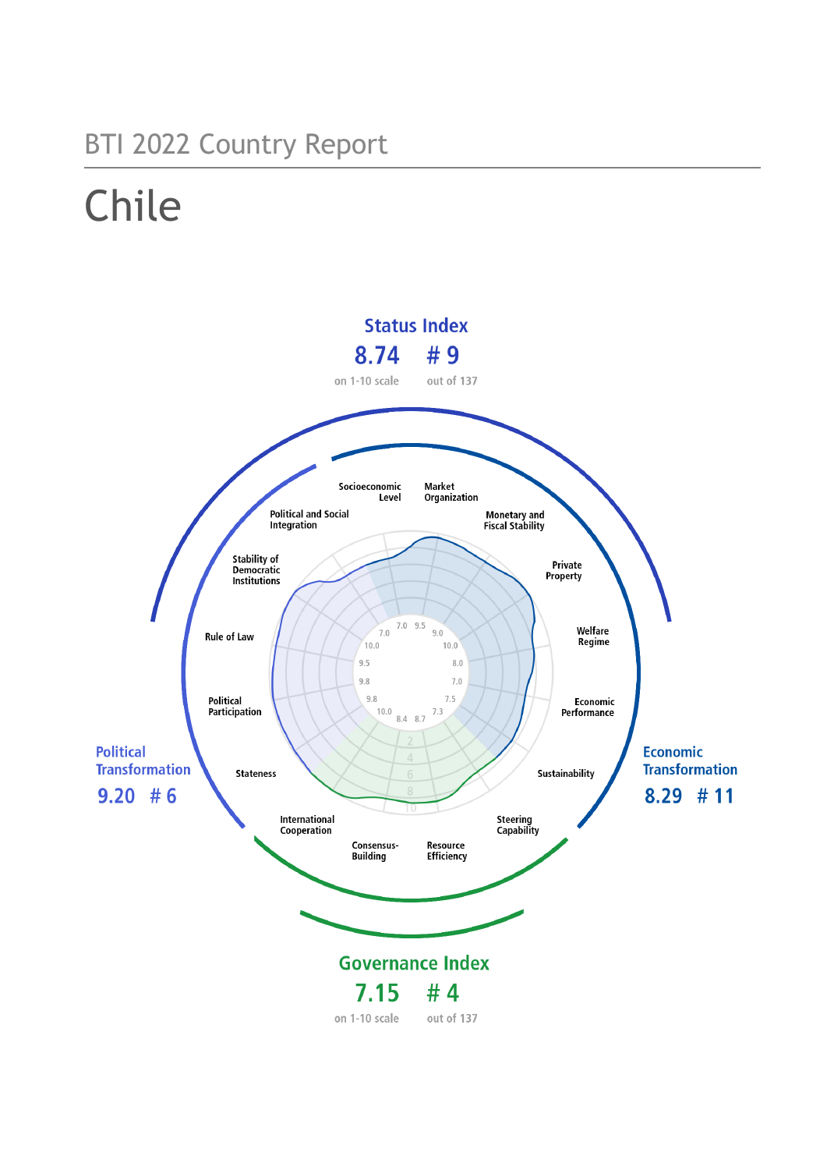## BTI 2022 Country Report

# Chile

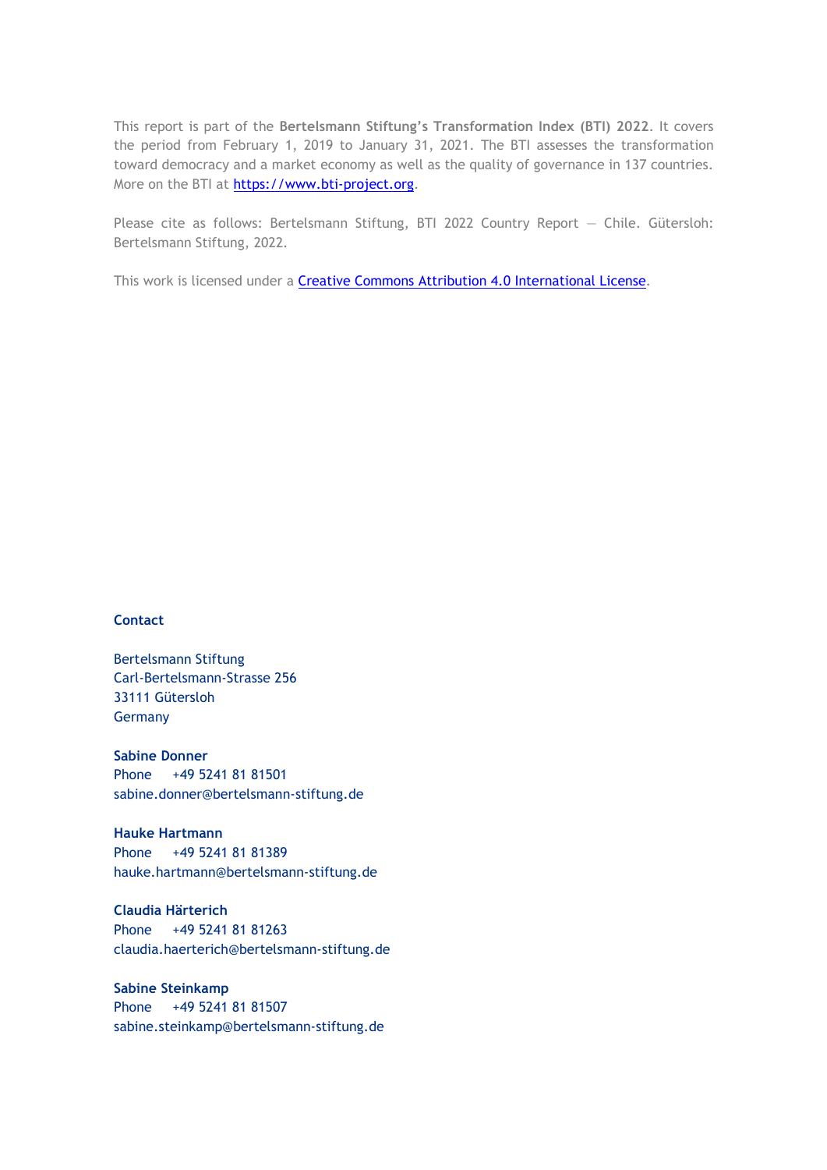This report is part of the **Bertelsmann Stiftung's Transformation Index (BTI) 2022**. It covers the period from February 1, 2019 to January 31, 2021. The BTI assesses the transformation toward democracy and a market economy as well as the quality of governance in 137 countries. More on the BTI at [https://www.bti-project.org.](https://www.bti-project.org/)

Please cite as follows: Bertelsmann Stiftung, BTI 2022 Country Report — Chile. Gütersloh: Bertelsmann Stiftung, 2022.

This work is licensed under a **Creative Commons Attribution 4.0 International License**.

#### **Contact**

Bertelsmann Stiftung Carl-Bertelsmann-Strasse 256 33111 Gütersloh Germany

**Sabine Donner** Phone +49 5241 81 81501 sabine.donner@bertelsmann-stiftung.de

**Hauke Hartmann** Phone +49 5241 81 81389 hauke.hartmann@bertelsmann-stiftung.de

**Claudia Härterich** Phone +49 5241 81 81263 claudia.haerterich@bertelsmann-stiftung.de

#### **Sabine Steinkamp** Phone +49 5241 81 81507 sabine.steinkamp@bertelsmann-stiftung.de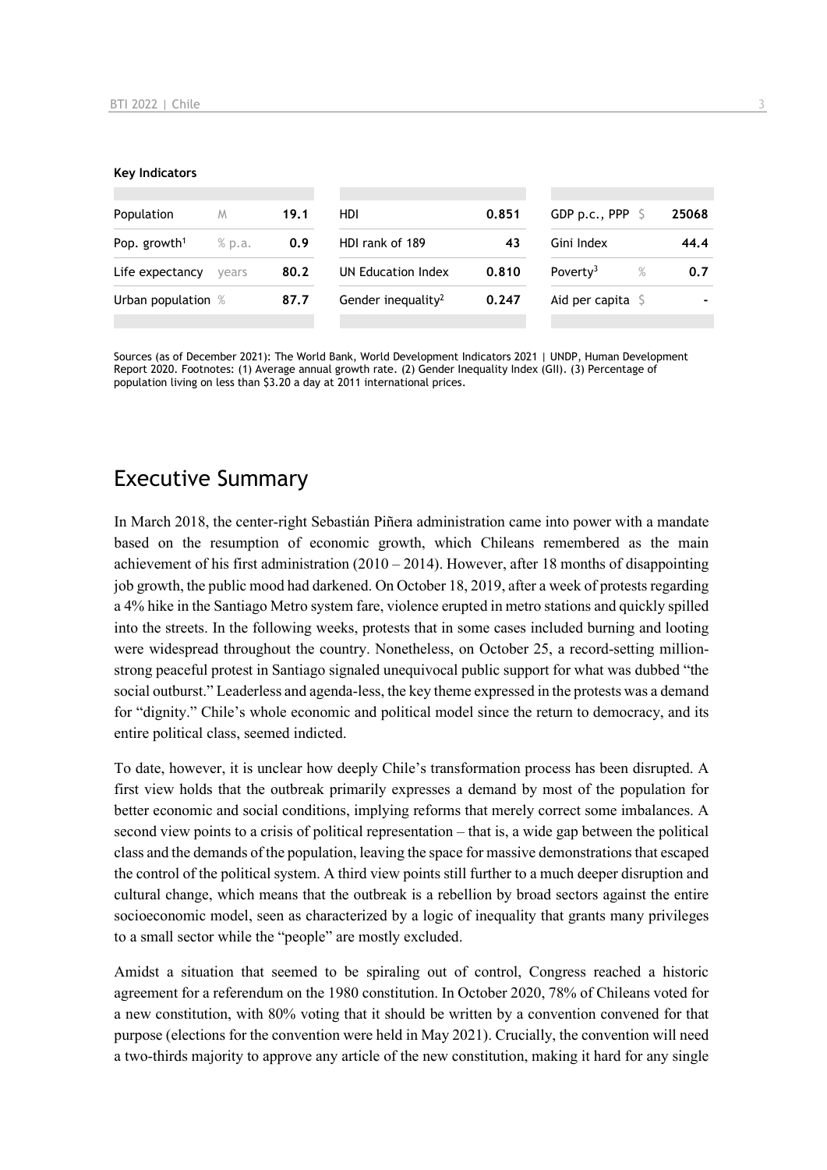#### **Key Indicators**

| Population               | M      | 19.1 | HDI                            | 0.851 | GDP p.c., PPP                | 25068 |
|--------------------------|--------|------|--------------------------------|-------|------------------------------|-------|
| Pop. growth <sup>1</sup> | % p.a. | 0.9  | HDI rank of 189                | 43    | Gini Index                   | 44.4  |
| Life expectancy          | vears  | 80.2 | UN Education Index             | 0.810 | $\%$<br>Poverty <sup>3</sup> | 0.7   |
| Urban population %       |        | 87.7 | Gender inequality <sup>2</sup> | 0.247 | Aid per capita $\sqrt{5}$    |       |
|                          |        |      |                                |       |                              |       |

Sources (as of December 2021): The World Bank, World Development Indicators 2021 | UNDP, Human Development Report 2020. Footnotes: (1) Average annual growth rate. (2) Gender Inequality Index (GII). (3) Percentage of population living on less than \$3.20 a day at 2011 international prices.

## Executive Summary

In March 2018, the center-right Sebastián Piñera administration came into power with a mandate based on the resumption of economic growth, which Chileans remembered as the main achievement of his first administration  $(2010 - 2014)$ . However, after 18 months of disappointing job growth, the public mood had darkened. On October 18, 2019, after a week of protests regarding a 4% hike in the Santiago Metro system fare, violence erupted in metro stations and quickly spilled into the streets. In the following weeks, protests that in some cases included burning and looting were widespread throughout the country. Nonetheless, on October 25, a record-setting millionstrong peaceful protest in Santiago signaled unequivocal public support for what was dubbed "the social outburst." Leaderless and agenda-less, the key theme expressed in the protests was a demand for "dignity." Chile's whole economic and political model since the return to democracy, and its entire political class, seemed indicted.

To date, however, it is unclear how deeply Chile's transformation process has been disrupted. A first view holds that the outbreak primarily expresses a demand by most of the population for better economic and social conditions, implying reforms that merely correct some imbalances. A second view points to a crisis of political representation – that is, a wide gap between the political class and the demands of the population, leaving the space for massive demonstrations that escaped the control of the political system. A third view points still further to a much deeper disruption and cultural change, which means that the outbreak is a rebellion by broad sectors against the entire socioeconomic model, seen as characterized by a logic of inequality that grants many privileges to a small sector while the "people" are mostly excluded.

Amidst a situation that seemed to be spiraling out of control, Congress reached a historic agreement for a referendum on the 1980 constitution. In October 2020, 78% of Chileans voted for a new constitution, with 80% voting that it should be written by a convention convened for that purpose (elections for the convention were held in May 2021). Crucially, the convention will need a two-thirds majority to approve any article of the new constitution, making it hard for any single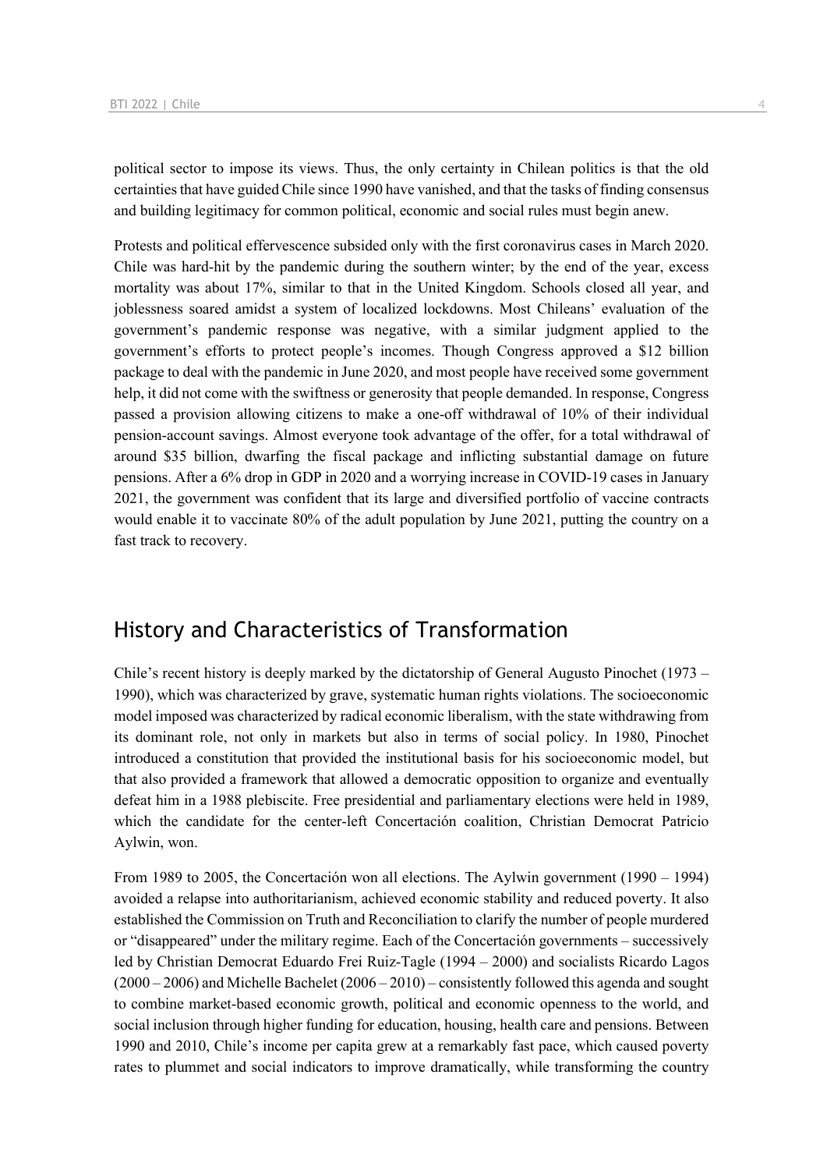political sector to impose its views. Thus, the only certainty in Chilean politics is that the old certainties that have guided Chile since 1990 have vanished, and that the tasks of finding consensus and building legitimacy for common political, economic and social rules must begin anew.

Protests and political effervescence subsided only with the first coronavirus cases in March 2020. Chile was hard-hit by the pandemic during the southern winter; by the end of the year, excess mortality was about 17%, similar to that in the United Kingdom. Schools closed all year, and joblessness soared amidst a system of localized lockdowns. Most Chileans' evaluation of the government's pandemic response was negative, with a similar judgment applied to the government's efforts to protect people's incomes. Though Congress approved a \$12 billion package to deal with the pandemic in June 2020, and most people have received some government help, it did not come with the swiftness or generosity that people demanded. In response, Congress passed a provision allowing citizens to make a one-off withdrawal of 10% of their individual pension-account savings. Almost everyone took advantage of the offer, for a total withdrawal of around \$35 billion, dwarfing the fiscal package and inflicting substantial damage on future pensions. After a 6% drop in GDP in 2020 and a worrying increase in COVID-19 cases in January 2021, the government was confident that its large and diversified portfolio of vaccine contracts would enable it to vaccinate 80% of the adult population by June 2021, putting the country on a fast track to recovery.

## History and Characteristics of Transformation

Chile's recent history is deeply marked by the dictatorship of General Augusto Pinochet (1973 – 1990), which was characterized by grave, systematic human rights violations. The socioeconomic model imposed was characterized by radical economic liberalism, with the state withdrawing from its dominant role, not only in markets but also in terms of social policy. In 1980, Pinochet introduced a constitution that provided the institutional basis for his socioeconomic model, but that also provided a framework that allowed a democratic opposition to organize and eventually defeat him in a 1988 plebiscite. Free presidential and parliamentary elections were held in 1989, which the candidate for the center-left Concertación coalition, Christian Democrat Patricio Aylwin, won.

From 1989 to 2005, the Concertación won all elections. The Aylwin government (1990 – 1994) avoided a relapse into authoritarianism, achieved economic stability and reduced poverty. It also established the Commission on Truth and Reconciliation to clarify the number of people murdered or "disappeared" under the military regime. Each of the Concertación governments – successively led by Christian Democrat Eduardo Frei Ruiz-Tagle (1994 – 2000) and socialists Ricardo Lagos  $(2000 - 2006)$  and Michelle Bachelet  $(2006 - 2010)$  – consistently followed this agenda and sought to combine market-based economic growth, political and economic openness to the world, and social inclusion through higher funding for education, housing, health care and pensions. Between 1990 and 2010, Chile's income per capita grew at a remarkably fast pace, which caused poverty rates to plummet and social indicators to improve dramatically, while transforming the country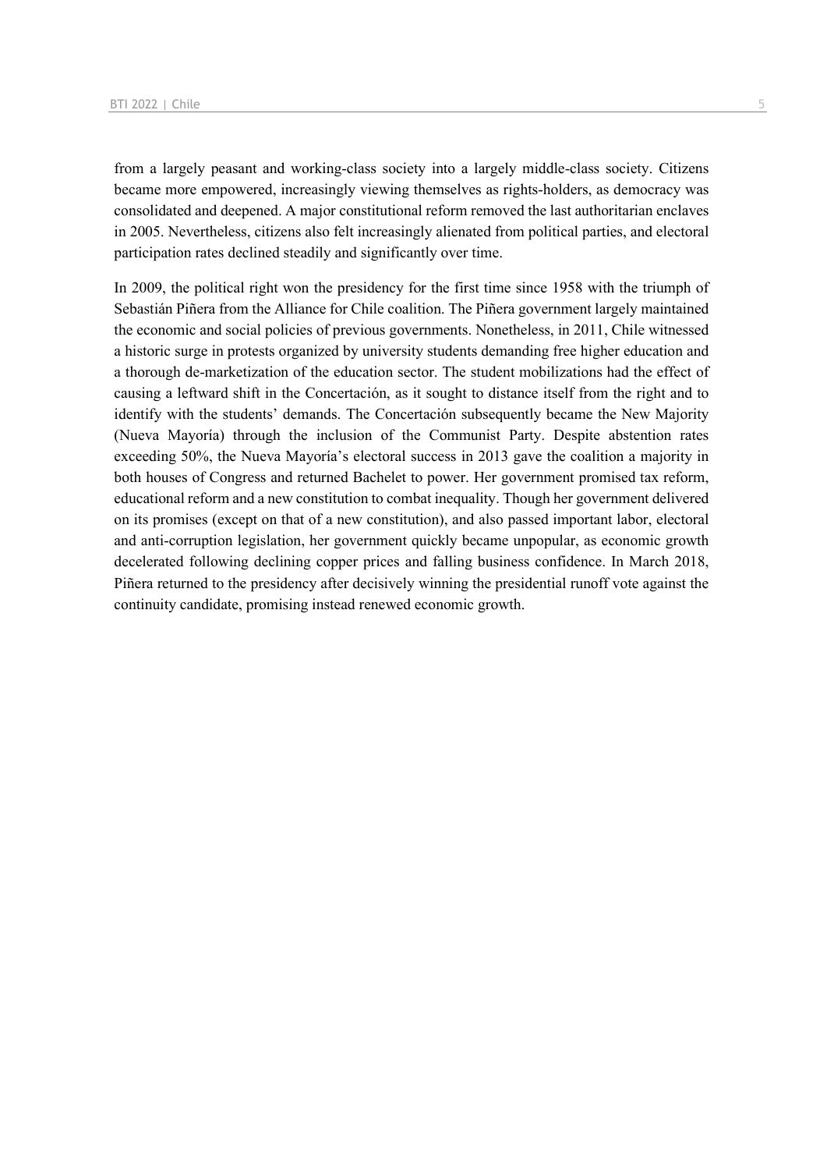from a largely peasant and working-class society into a largely middle-class society. Citizens became more empowered, increasingly viewing themselves as rights-holders, as democracy was consolidated and deepened. A major constitutional reform removed the last authoritarian enclaves in 2005. Nevertheless, citizens also felt increasingly alienated from political parties, and electoral participation rates declined steadily and significantly over time.

In 2009, the political right won the presidency for the first time since 1958 with the triumph of Sebastián Piñera from the Alliance for Chile coalition. The Piñera government largely maintained the economic and social policies of previous governments. Nonetheless, in 2011, Chile witnessed a historic surge in protests organized by university students demanding free higher education and a thorough de-marketization of the education sector. The student mobilizations had the effect of causing a leftward shift in the Concertación, as it sought to distance itself from the right and to identify with the students' demands. The Concertación subsequently became the New Majority (Nueva Mayoría) through the inclusion of the Communist Party. Despite abstention rates exceeding 50%, the Nueva Mayoría's electoral success in 2013 gave the coalition a majority in both houses of Congress and returned Bachelet to power. Her government promised tax reform, educational reform and a new constitution to combat inequality. Though her government delivered on its promises (except on that of a new constitution), and also passed important labor, electoral and anti-corruption legislation, her government quickly became unpopular, as economic growth decelerated following declining copper prices and falling business confidence. In March 2018, Piñera returned to the presidency after decisively winning the presidential runoff vote against the continuity candidate, promising instead renewed economic growth.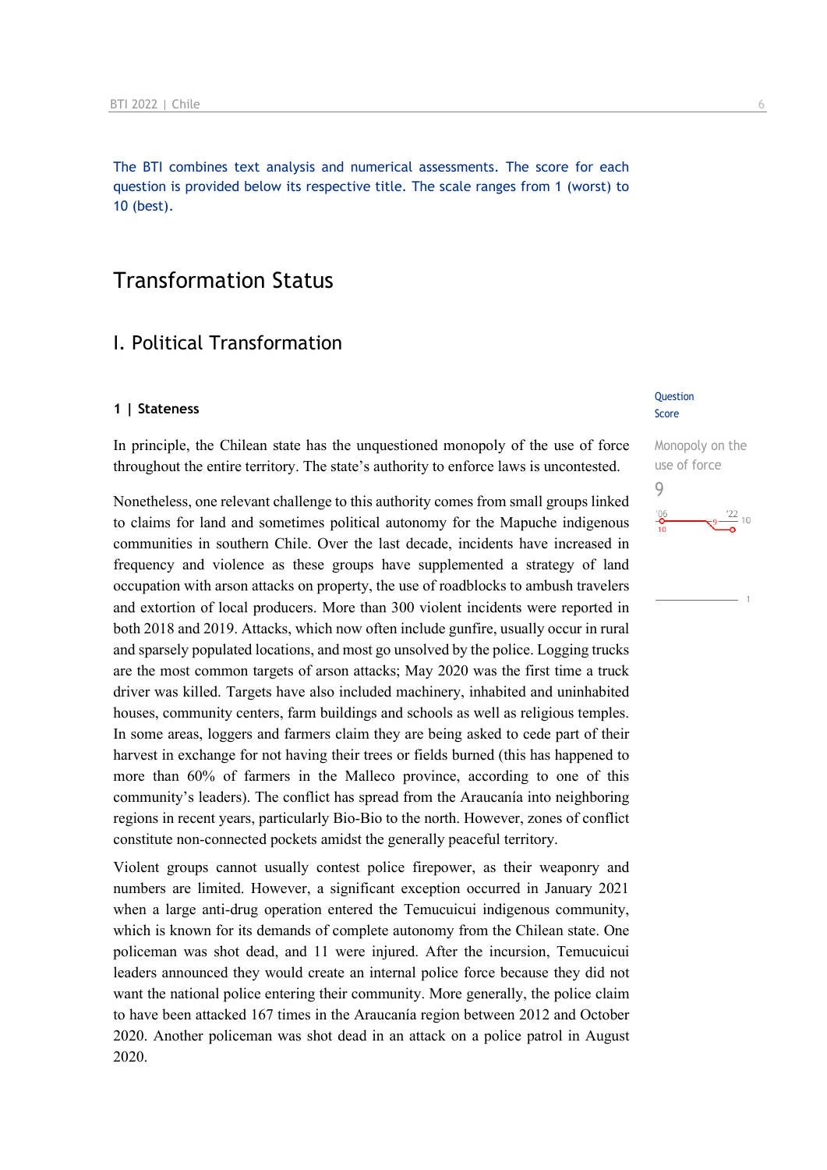The BTI combines text analysis and numerical assessments. The score for each question is provided below its respective title. The scale ranges from 1 (worst) to 10 (best).

## Transformation Status

## I. Political Transformation

#### **1 | Stateness**

In principle, the Chilean state has the unquestioned monopoly of the use of force throughout the entire territory. The state's authority to enforce laws is uncontested.

Nonetheless, one relevant challenge to this authority comes from small groups linked to claims for land and sometimes political autonomy for the Mapuche indigenous communities in southern Chile. Over the last decade, incidents have increased in frequency and violence as these groups have supplemented a strategy of land occupation with arson attacks on property, the use of roadblocks to ambush travelers and extortion of local producers. More than 300 violent incidents were reported in both 2018 and 2019. Attacks, which now often include gunfire, usually occur in rural and sparsely populated locations, and most go unsolved by the police. Logging trucks are the most common targets of arson attacks; May 2020 was the first time a truck driver was killed. Targets have also included machinery, inhabited and uninhabited houses, community centers, farm buildings and schools as well as religious temples. In some areas, loggers and farmers claim they are being asked to cede part of their harvest in exchange for not having their trees or fields burned (this has happened to more than 60% of farmers in the Malleco province, according to one of this community's leaders). The conflict has spread from the Araucanía into neighboring regions in recent years, particularly Bio-Bio to the north. However, zones of conflict constitute non-connected pockets amidst the generally peaceful territory.

Violent groups cannot usually contest police firepower, as their weaponry and numbers are limited. However, a significant exception occurred in January 2021 when a large anti-drug operation entered the Temucuicui indigenous community, which is known for its demands of complete autonomy from the Chilean state. One policeman was shot dead, and 11 were injured. After the incursion, Temucuicui leaders announced they would create an internal police force because they did not want the national police entering their community. More generally, the police claim to have been attacked 167 times in the Araucanía region between 2012 and October 2020. Another policeman was shot dead in an attack on a police patrol in August 2020.

#### Question Score

Monopoly on the use of force  $\Omega$  $\frac{22}{10}$  $\frac{106}{6}$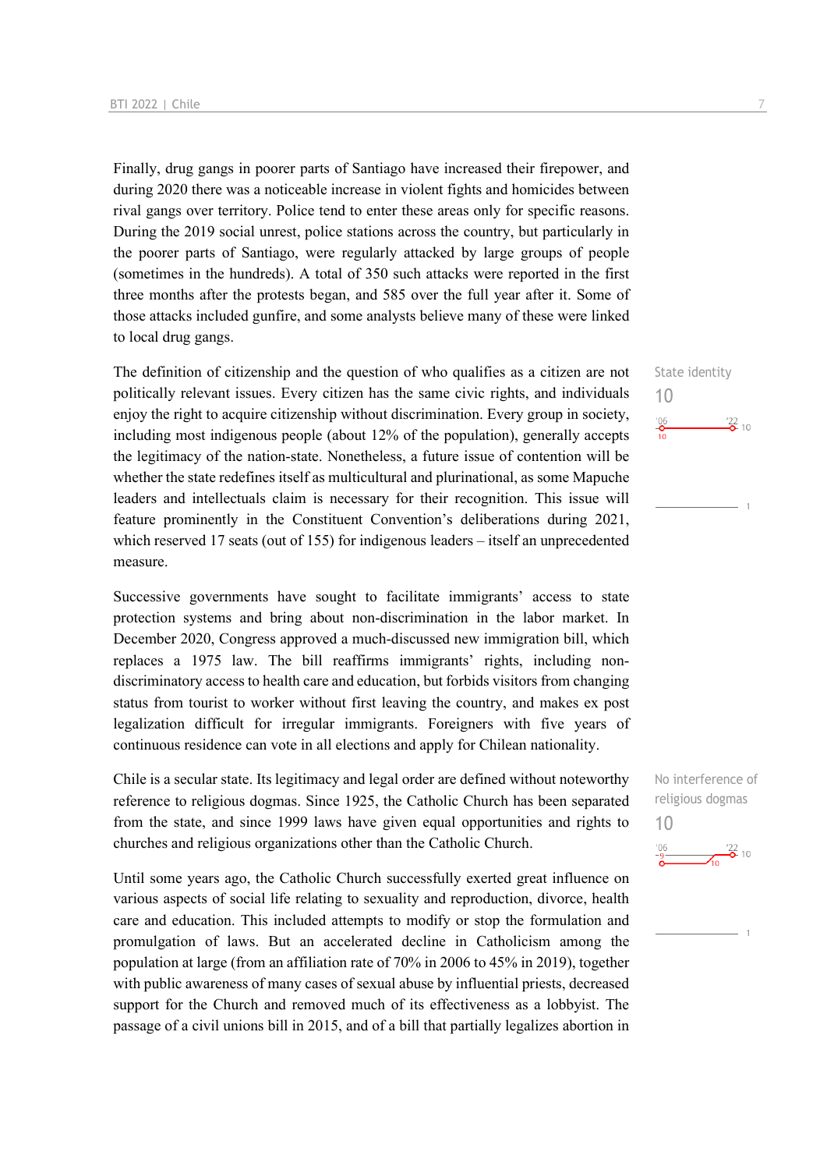Finally, drug gangs in poorer parts of Santiago have increased their firepower, and during 2020 there was a noticeable increase in violent fights and homicides between rival gangs over territory. Police tend to enter these areas only for specific reasons. During the 2019 social unrest, police stations across the country, but particularly in the poorer parts of Santiago, were regularly attacked by large groups of people (sometimes in the hundreds). A total of 350 such attacks were reported in the first three months after the protests began, and 585 over the full year after it. Some of those attacks included gunfire, and some analysts believe many of these were linked to local drug gangs.

The definition of citizenship and the question of who qualifies as a citizen are not politically relevant issues. Every citizen has the same civic rights, and individuals enjoy the right to acquire citizenship without discrimination. Every group in society, including most indigenous people (about 12% of the population), generally accepts the legitimacy of the nation-state. Nonetheless, a future issue of contention will be whether the state redefines itself as multicultural and plurinational, as some Mapuche leaders and intellectuals claim is necessary for their recognition. This issue will feature prominently in the Constituent Convention's deliberations during 2021, which reserved 17 seats (out of 155) for indigenous leaders – itself an unprecedented measure.

Successive governments have sought to facilitate immigrants' access to state protection systems and bring about non-discrimination in the labor market. In December 2020, Congress approved a much-discussed new immigration bill, which replaces a 1975 law. The bill reaffirms immigrants' rights, including nondiscriminatory access to health care and education, but forbids visitors from changing status from tourist to worker without first leaving the country, and makes ex post legalization difficult for irregular immigrants. Foreigners with five years of continuous residence can vote in all elections and apply for Chilean nationality.

Chile is a secular state. Its legitimacy and legal order are defined without noteworthy reference to religious dogmas. Since 1925, the Catholic Church has been separated from the state, and since 1999 laws have given equal opportunities and rights to churches and religious organizations other than the Catholic Church.

Until some years ago, the Catholic Church successfully exerted great influence on various aspects of social life relating to sexuality and reproduction, divorce, health care and education. This included attempts to modify or stop the formulation and promulgation of laws. But an accelerated decline in Catholicism among the population at large (from an affiliation rate of 70% in 2006 to 45% in 2019), together with public awareness of many cases of sexual abuse by influential priests, decreased support for the Church and removed much of its effectiveness as a lobbyist. The passage of a civil unions bill in 2015, and of a bill that partially legalizes abortion in

State identity 10  $\frac{106}{2}$  $\frac{22}{2}$  10

No interference of religious dogmas 10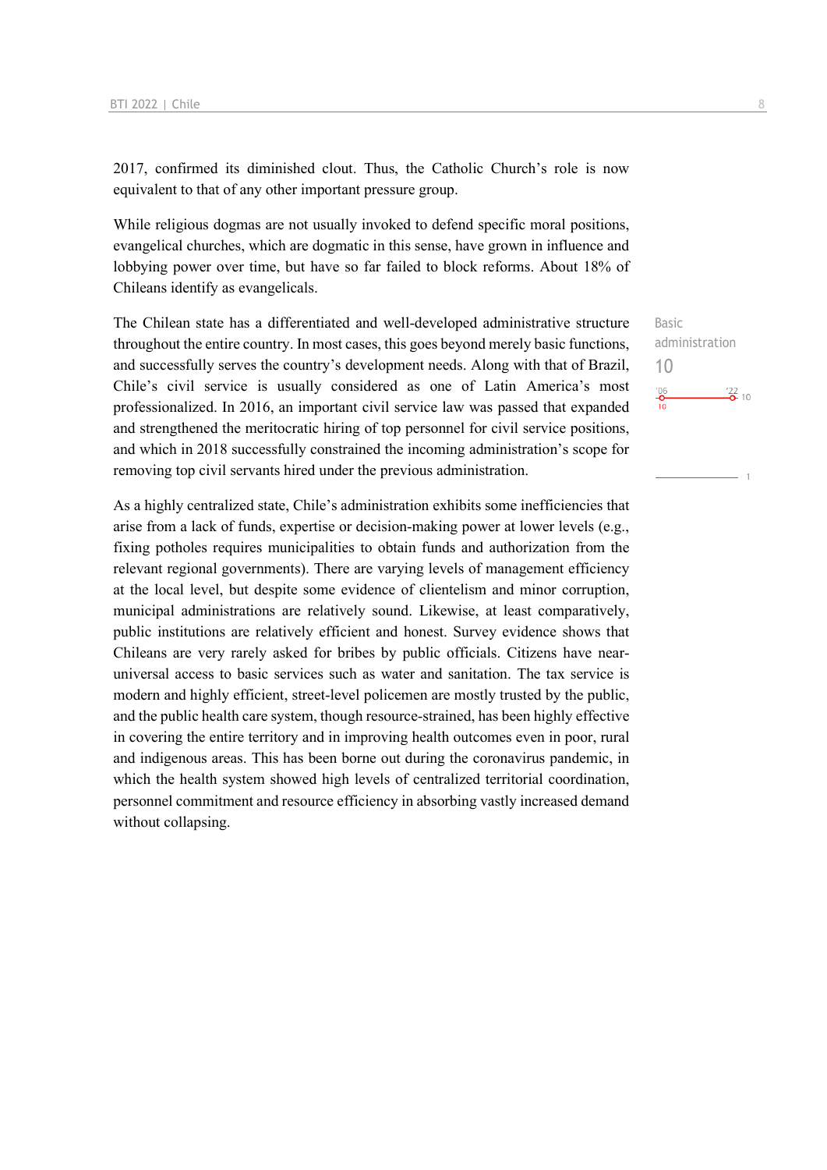2017, confirmed its diminished clout. Thus, the Catholic Church's role is now equivalent to that of any other important pressure group.

While religious dogmas are not usually invoked to defend specific moral positions, evangelical churches, which are dogmatic in this sense, have grown in influence and lobbying power over time, but have so far failed to block reforms. About 18% of Chileans identify as evangelicals.

The Chilean state has a differentiated and well-developed administrative structure throughout the entire country. In most cases, this goes beyond merely basic functions, and successfully serves the country's development needs. Along with that of Brazil, Chile's civil service is usually considered as one of Latin America's most professionalized. In 2016, an important civil service law was passed that expanded and strengthened the meritocratic hiring of top personnel for civil service positions, and which in 2018 successfully constrained the incoming administration's scope for removing top civil servants hired under the previous administration.

As a highly centralized state, Chile's administration exhibits some inefficiencies that arise from a lack of funds, expertise or decision-making power at lower levels (e.g., fixing potholes requires municipalities to obtain funds and authorization from the relevant regional governments). There are varying levels of management efficiency at the local level, but despite some evidence of clientelism and minor corruption, municipal administrations are relatively sound. Likewise, at least comparatively, public institutions are relatively efficient and honest. Survey evidence shows that Chileans are very rarely asked for bribes by public officials. Citizens have nearuniversal access to basic services such as water and sanitation. The tax service is modern and highly efficient, street-level policemen are mostly trusted by the public, and the public health care system, though resource-strained, has been highly effective in covering the entire territory and in improving health outcomes even in poor, rural and indigenous areas. This has been borne out during the coronavirus pandemic, in which the health system showed high levels of centralized territorial coordination, personnel commitment and resource efficiency in absorbing vastly increased demand without collapsing.

Basic administration 10 $^{106}_{\bullet}$  $\frac{22}{2}$  10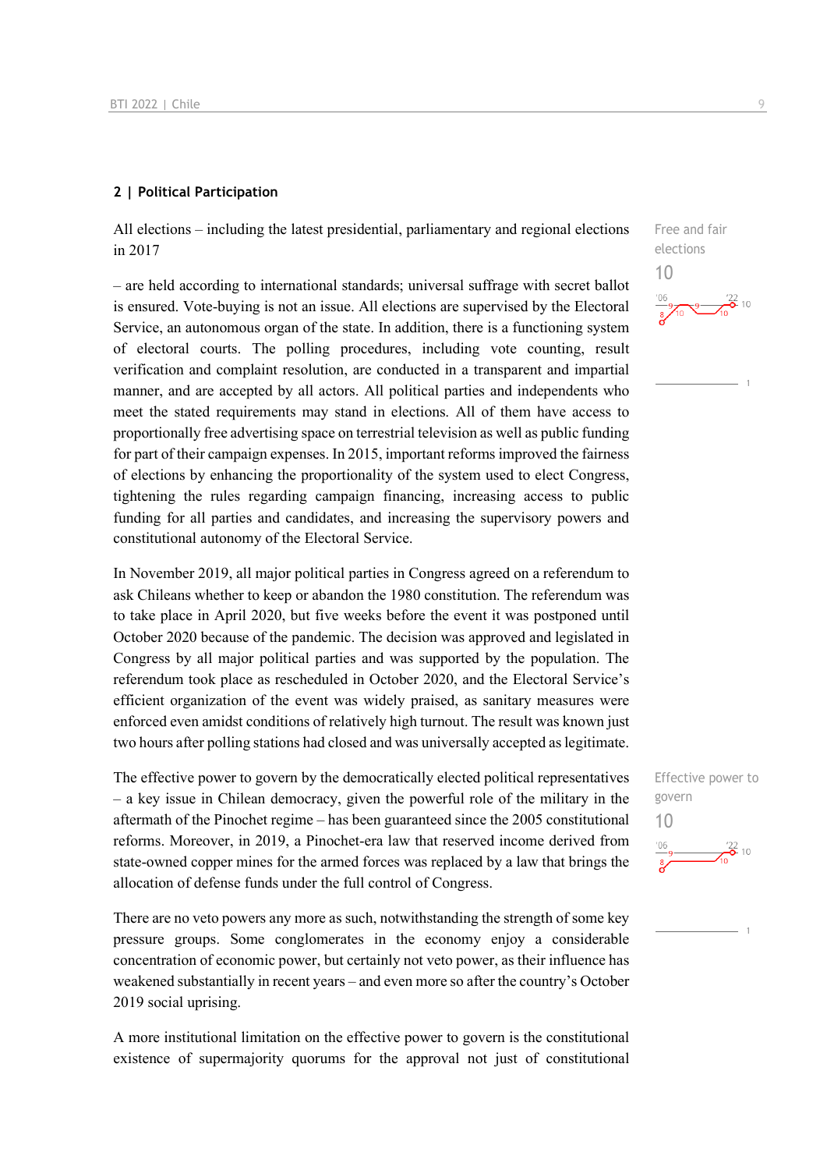#### **2 | Political Participation**

All elections – including the latest presidential, parliamentary and regional elections in 2017

– are held according to international standards; universal suffrage with secret ballot is ensured. Vote-buying is not an issue. All elections are supervised by the Electoral Service, an autonomous organ of the state. In addition, there is a functioning system of electoral courts. The polling procedures, including vote counting, result verification and complaint resolution, are conducted in a transparent and impartial manner, and are accepted by all actors. All political parties and independents who meet the stated requirements may stand in elections. All of them have access to proportionally free advertising space on terrestrial television as well as public funding for part of their campaign expenses. In 2015, important reforms improved the fairness of elections by enhancing the proportionality of the system used to elect Congress, tightening the rules regarding campaign financing, increasing access to public funding for all parties and candidates, and increasing the supervisory powers and constitutional autonomy of the Electoral Service.

In November 2019, all major political parties in Congress agreed on a referendum to ask Chileans whether to keep or abandon the 1980 constitution. The referendum was to take place in April 2020, but five weeks before the event it was postponed until October 2020 because of the pandemic. The decision was approved and legislated in Congress by all major political parties and was supported by the population. The referendum took place as rescheduled in October 2020, and the Electoral Service's efficient organization of the event was widely praised, as sanitary measures were enforced even amidst conditions of relatively high turnout. The result was known just two hours after polling stations had closed and was universally accepted aslegitimate.

The effective power to govern by the democratically elected political representatives – a key issue in Chilean democracy, given the powerful role of the military in the aftermath of the Pinochet regime – has been guaranteed since the 2005 constitutional reforms. Moreover, in 2019, a Pinochet-era law that reserved income derived from state-owned copper mines for the armed forces was replaced by a law that brings the allocation of defense funds under the full control of Congress.

There are no veto powers any more as such, notwithstanding the strength of some key pressure groups. Some conglomerates in the economy enjoy a considerable concentration of economic power, but certainly not veto power, as their influence has weakened substantially in recent years – and even more so after the country's October 2019 social uprising.

A more institutional limitation on the effective power to govern is the constitutional existence of supermajority quorums for the approval not just of constitutional Free and fair elections 10  $\frac{106}{8}$ <br> $\frac{9}{10}$ <br> $\frac{122}{10}$ <br>10

Effective power to govern 10 $\frac{122}{10}$  10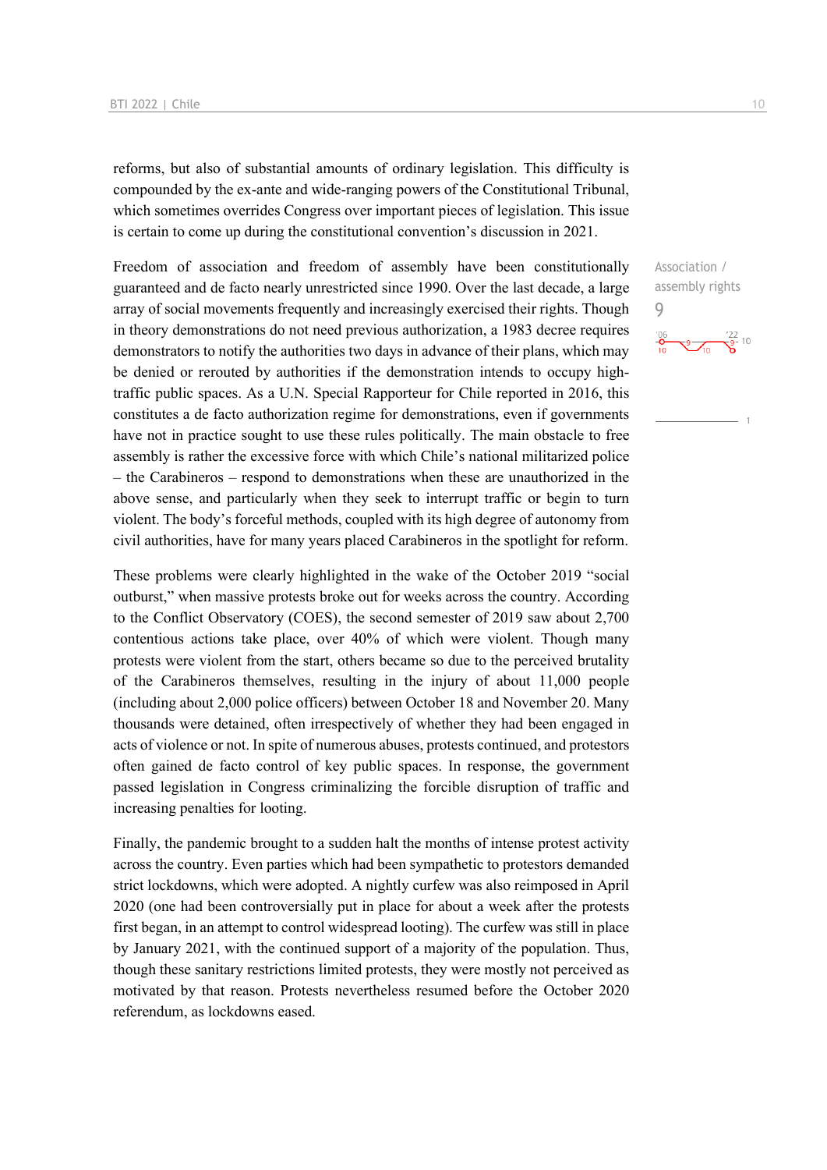reforms, but also of substantial amounts of ordinary legislation. This difficulty is compounded by the ex-ante and wide-ranging powers of the Constitutional Tribunal, which sometimes overrides Congress over important pieces of legislation. This issue is certain to come up during the constitutional convention's discussion in 2021.

Freedom of association and freedom of assembly have been constitutionally guaranteed and de facto nearly unrestricted since 1990. Over the last decade, a large array of social movements frequently and increasingly exercised their rights. Though in theory demonstrations do not need previous authorization, a 1983 decree requires demonstrators to notify the authorities two days in advance of their plans, which may be denied or rerouted by authorities if the demonstration intends to occupy hightraffic public spaces. As a U.N. Special Rapporteur for Chile reported in 2016, this constitutes a de facto authorization regime for demonstrations, even if governments have not in practice sought to use these rules politically. The main obstacle to free assembly is rather the excessive force with which Chile's national militarized police – the Carabineros – respond to demonstrations when these are unauthorized in the above sense, and particularly when they seek to interrupt traffic or begin to turn violent. The body's forceful methods, coupled with its high degree of autonomy from civil authorities, have for many years placed Carabineros in the spotlight for reform.

These problems were clearly highlighted in the wake of the October 2019 "social outburst," when massive protests broke out for weeks across the country. According to the Conflict Observatory (COES), the second semester of 2019 saw about 2,700 contentious actions take place, over 40% of which were violent. Though many protests were violent from the start, others became so due to the perceived brutality of the Carabineros themselves, resulting in the injury of about 11,000 people (including about 2,000 police officers) between October 18 and November 20. Many thousands were detained, often irrespectively of whether they had been engaged in acts of violence or not. In spite of numerous abuses, protests continued, and protestors often gained de facto control of key public spaces. In response, the government passed legislation in Congress criminalizing the forcible disruption of traffic and increasing penalties for looting.

Finally, the pandemic brought to a sudden halt the months of intense protest activity across the country. Even parties which had been sympathetic to protestors demanded strict lockdowns, which were adopted. A nightly curfew was also reimposed in April 2020 (one had been controversially put in place for about a week after the protests first began, in an attempt to control widespread looting). The curfew was still in place by January 2021, with the continued support of a majority of the population. Thus, though these sanitary restrictions limited protests, they were mostly not perceived as motivated by that reason. Protests nevertheless resumed before the October 2020 referendum, as lockdowns eased.

9

 $\frac{106}{10}$  $\frac{9}{10}$   $\frac{22}{9}$  10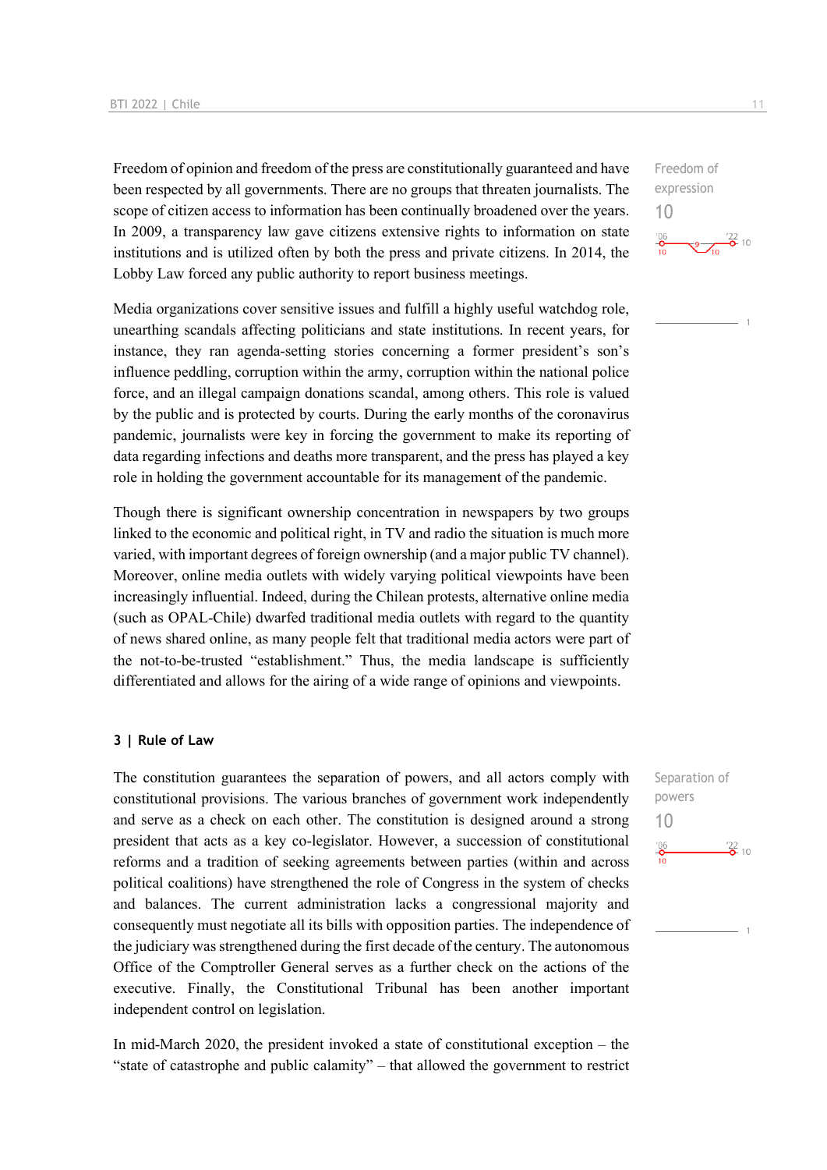Freedom of opinion and freedom of the press are constitutionally guaranteed and have been respected by all governments. There are no groups that threaten journalists. The scope of citizen access to information has been continually broadened over the years. In 2009, a transparency law gave citizens extensive rights to information on state institutions and is utilized often by both the press and private citizens. In 2014, the Lobby Law forced any public authority to report business meetings.

Media organizations cover sensitive issues and fulfill a highly useful watchdog role, unearthing scandals affecting politicians and state institutions. In recent years, for instance, they ran agenda-setting stories concerning a former president's son's influence peddling, corruption within the army, corruption within the national police force, and an illegal campaign donations scandal, among others. This role is valued by the public and is protected by courts. During the early months of the coronavirus pandemic, journalists were key in forcing the government to make its reporting of data regarding infections and deaths more transparent, and the press has played a key role in holding the government accountable for its management of the pandemic.

Though there is significant ownership concentration in newspapers by two groups linked to the economic and political right, in TV and radio the situation is much more varied, with important degrees of foreign ownership (and a major public TV channel). Moreover, online media outlets with widely varying political viewpoints have been increasingly influential. Indeed, during the Chilean protests, alternative online media (such as OPAL-Chile) dwarfed traditional media outlets with regard to the quantity of news shared online, as many people felt that traditional media actors were part of the not-to-be-trusted "establishment." Thus, the media landscape is sufficiently differentiated and allows for the airing of a wide range of opinions and viewpoints.

#### **3 | Rule of Law**

The constitution guarantees the separation of powers, and all actors comply with constitutional provisions. The various branches of government work independently and serve as a check on each other. The constitution is designed around a strong president that acts as a key co-legislator. However, a succession of constitutional reforms and a tradition of seeking agreements between parties (within and across political coalitions) have strengthened the role of Congress in the system of checks and balances. The current administration lacks a congressional majority and consequently must negotiate all its bills with opposition parties. The independence of the judiciary was strengthened during the first decade of the century. The autonomous Office of the Comptroller General serves as a further check on the actions of the executive. Finally, the Constitutional Tribunal has been another important independent control on legislation.

In mid-March 2020, the president invoked a state of constitutional exception – the "state of catastrophe and public calamity" – that allowed the government to restrict

Freedom of expression 10  $\frac{122}{10}$  10

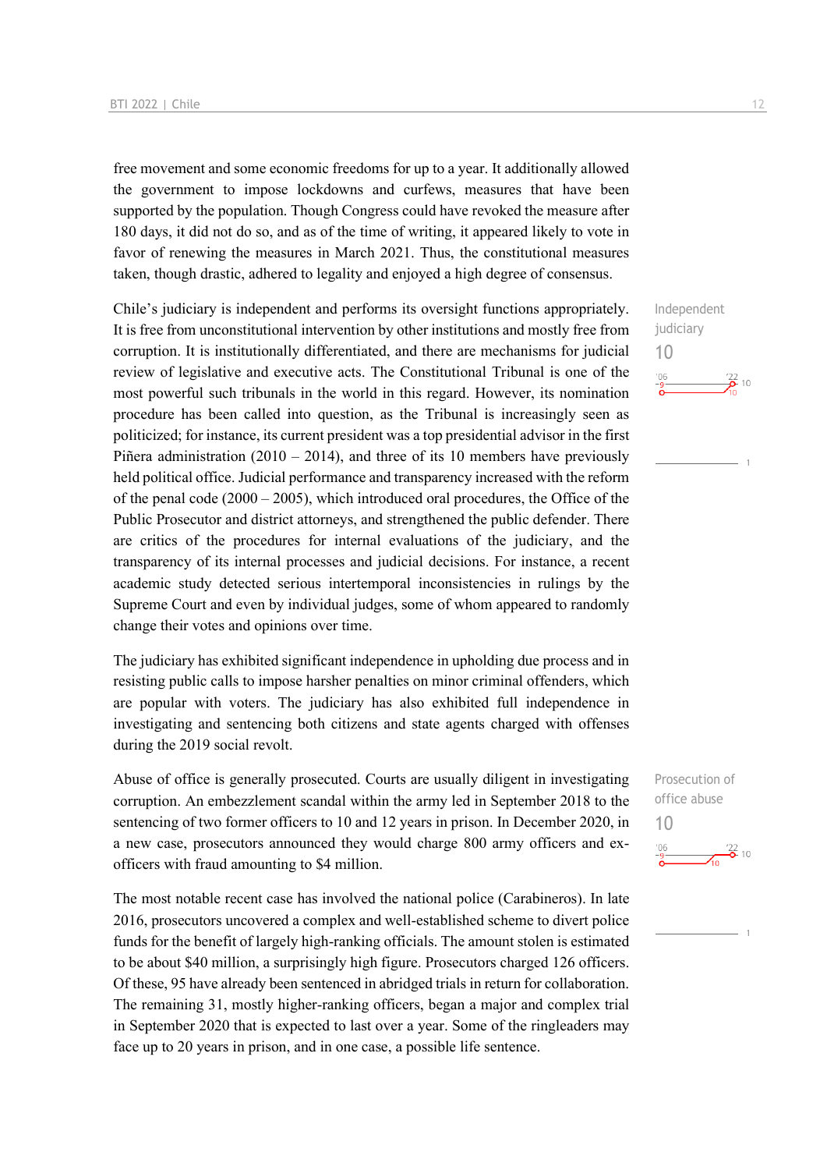free movement and some economic freedoms for up to a year. It additionally allowed the government to impose lockdowns and curfews, measures that have been supported by the population. Though Congress could have revoked the measure after 180 days, it did not do so, and as of the time of writing, it appeared likely to vote in favor of renewing the measures in March 2021. Thus, the constitutional measures taken, though drastic, adhered to legality and enjoyed a high degree of consensus.

Chile's judiciary is independent and performs its oversight functions appropriately. It is free from unconstitutional intervention by other institutions and mostly free from corruption. It is institutionally differentiated, and there are mechanisms for judicial review of legislative and executive acts. The Constitutional Tribunal is one of the most powerful such tribunals in the world in this regard. However, its nomination procedure has been called into question, as the Tribunal is increasingly seen as politicized; for instance, its current president was a top presidential advisor in the first Piñera administration (2010 – 2014), and three of its 10 members have previously held political office. Judicial performance and transparency increased with the reform of the penal code  $(2000 - 2005)$ , which introduced oral procedures, the Office of the Public Prosecutor and district attorneys, and strengthened the public defender. There are critics of the procedures for internal evaluations of the judiciary, and the transparency of its internal processes and judicial decisions. For instance, a recent academic study detected serious intertemporal inconsistencies in rulings by the Supreme Court and even by individual judges, some of whom appeared to randomly change their votes and opinions over time.

The judiciary has exhibited significant independence in upholding due process and in resisting public calls to impose harsher penalties on minor criminal offenders, which are popular with voters. The judiciary has also exhibited full independence in investigating and sentencing both citizens and state agents charged with offenses during the 2019 social revolt.

Abuse of office is generally prosecuted. Courts are usually diligent in investigating corruption. An embezzlement scandal within the army led in September 2018 to the sentencing of two former officers to 10 and 12 years in prison. In December 2020, in a new case, prosecutors announced they would charge 800 army officers and exofficers with fraud amounting to \$4 million.

The most notable recent case has involved the national police (Carabineros). In late 2016, prosecutors uncovered a complex and well-established scheme to divert police funds for the benefit of largely high-ranking officials. The amount stolen is estimated to be about \$40 million, a surprisingly high figure. Prosecutors charged 126 officers. Of these, 95 have already been sentenced in abridged trials in return for collaboration. The remaining 31, mostly higher-ranking officers, began a major and complex trial in September 2020 that is expected to last over a year. Some of the ringleaders may face up to 20 years in prison, and in one case, a possible life sentence.



Prosecution of office abuse 10 $\frac{22}{2}$  10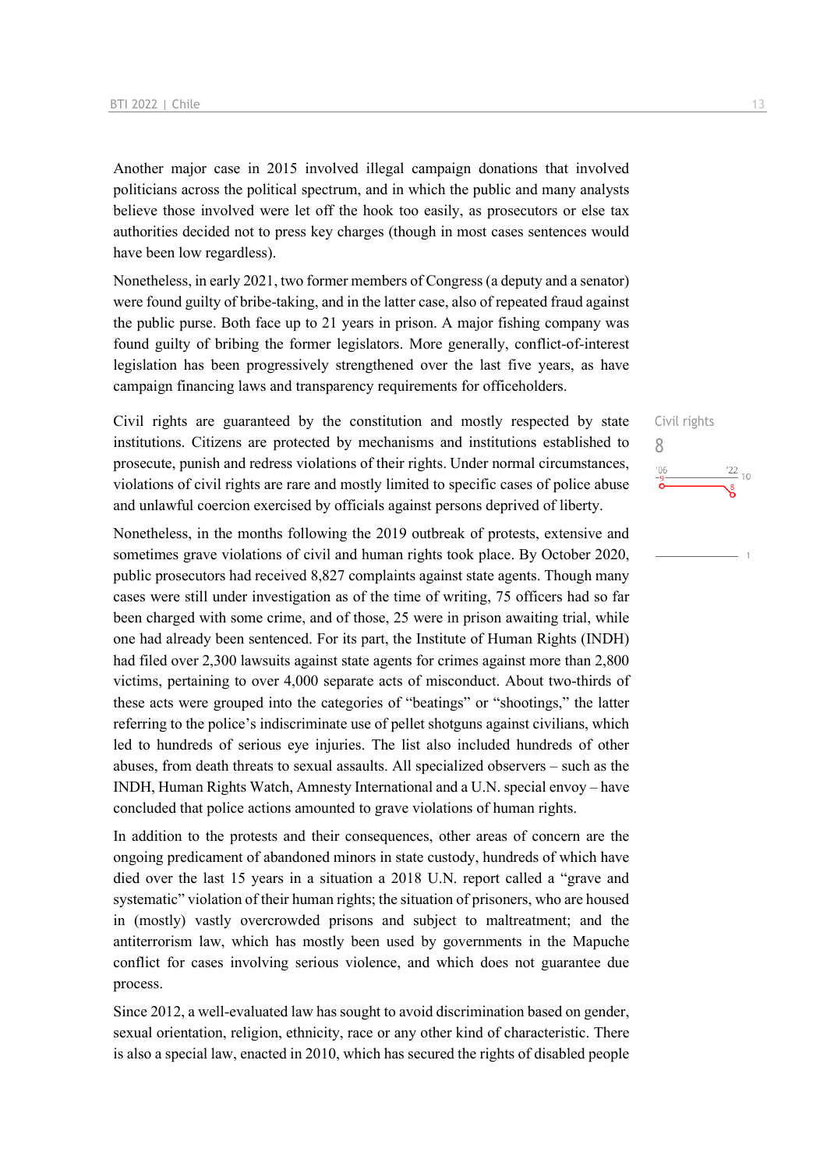Another major case in 2015 involved illegal campaign donations that involved politicians across the political spectrum, and in which the public and many analysts believe those involved were let off the hook too easily, as prosecutors or else tax authorities decided not to press key charges (though in most cases sentences would have been low regardless).

Nonetheless, in early 2021, two former members of Congress (a deputy and a senator) were found guilty of bribe-taking, and in the latter case, also of repeated fraud against the public purse. Both face up to 21 years in prison. A major fishing company was found guilty of bribing the former legislators. More generally, conflict-of-interest legislation has been progressively strengthened over the last five years, as have campaign financing laws and transparency requirements for officeholders.

Civil rights are guaranteed by the constitution and mostly respected by state institutions. Citizens are protected by mechanisms and institutions established to prosecute, punish and redress violations of their rights. Under normal circumstances, violations of civil rights are rare and mostly limited to specific cases of police abuse and unlawful coercion exercised by officials against persons deprived of liberty.

Nonetheless, in the months following the 2019 outbreak of protests, extensive and sometimes grave violations of civil and human rights took place. By October 2020, public prosecutors had received 8,827 complaints against state agents. Though many cases were still under investigation as of the time of writing, 75 officers had so far been charged with some crime, and of those, 25 were in prison awaiting trial, while one had already been sentenced. For its part, the Institute of Human Rights (INDH) had filed over 2,300 lawsuits against state agents for crimes against more than 2,800 victims, pertaining to over 4,000 separate acts of misconduct. About two-thirds of these acts were grouped into the categories of "beatings" or "shootings," the latter referring to the police's indiscriminate use of pellet shotguns against civilians, which led to hundreds of serious eye injuries. The list also included hundreds of other abuses, from death threats to sexual assaults. All specialized observers – such as the INDH, Human Rights Watch, Amnesty International and a U.N. special envoy – have concluded that police actions amounted to grave violations of human rights.

In addition to the protests and their consequences, other areas of concern are the ongoing predicament of abandoned minors in state custody, hundreds of which have died over the last 15 years in a situation a 2018 U.N. report called a "grave and systematic" violation of their human rights; the situation of prisoners, who are housed in (mostly) vastly overcrowded prisons and subject to maltreatment; and the antiterrorism law, which has mostly been used by governments in the Mapuche conflict for cases involving serious violence, and which does not guarantee due process.

Since 2012, a well-evaluated law has sought to avoid discrimination based on gender, sexual orientation, religion, ethnicity, race or any other kind of characteristic. There is also a special law, enacted in 2010, which has secured the rights of disabled people Civil rights

 $\frac{22}{10}$  10

8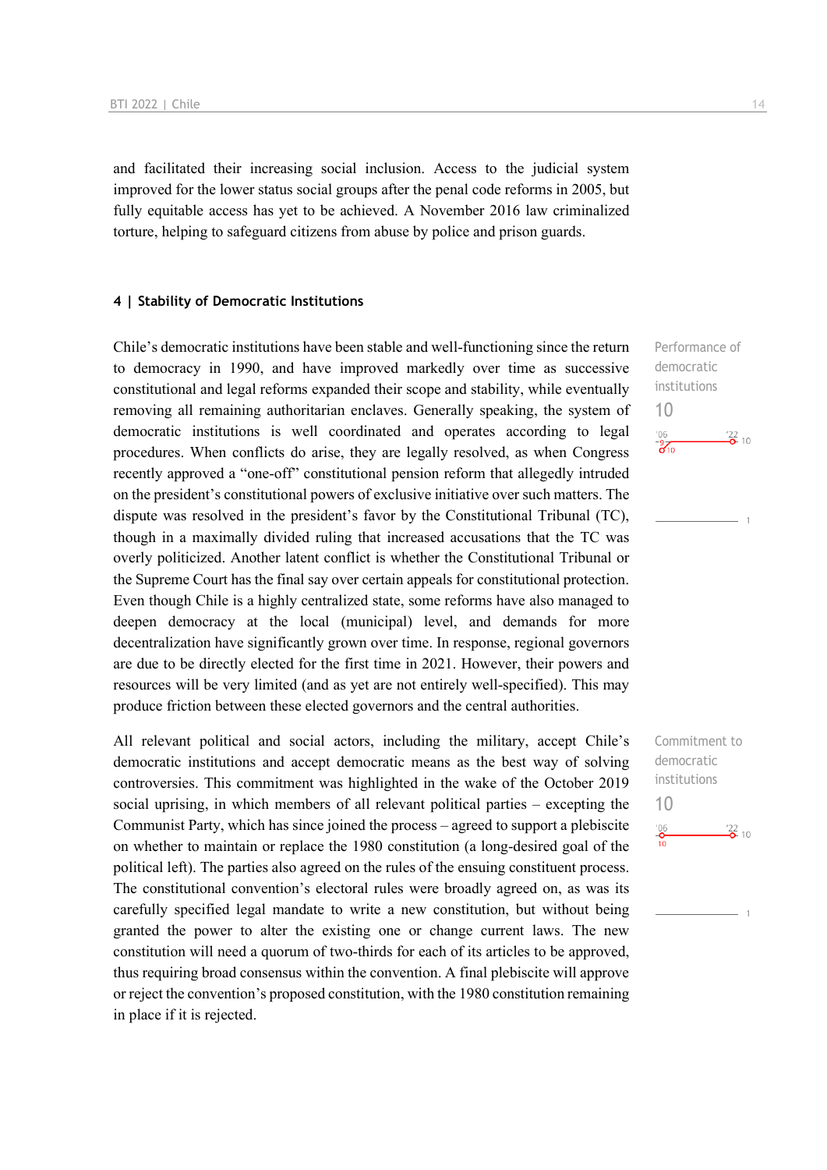and facilitated their increasing social inclusion. Access to the judicial system improved for the lower status social groups after the penal code reforms in 2005, but fully equitable access has yet to be achieved. A November 2016 law criminalized torture, helping to safeguard citizens from abuse by police and prison guards.

#### **4 | Stability of Democratic Institutions**

Chile's democratic institutions have been stable and well-functioning since the return to democracy in 1990, and have improved markedly over time as successive constitutional and legal reforms expanded their scope and stability, while eventually removing all remaining authoritarian enclaves. Generally speaking, the system of democratic institutions is well coordinated and operates according to legal procedures. When conflicts do arise, they are legally resolved, as when Congress recently approved a "one-off" constitutional pension reform that allegedly intruded on the president's constitutional powers of exclusive initiative over such matters. The dispute was resolved in the president's favor by the Constitutional Tribunal (TC), though in a maximally divided ruling that increased accusations that the TC was overly politicized. Another latent conflict is whether the Constitutional Tribunal or the Supreme Court has the final say over certain appeals for constitutional protection. Even though Chile is a highly centralized state, some reforms have also managed to deepen democracy at the local (municipal) level, and demands for more decentralization have significantly grown over time. In response, regional governors are due to be directly elected for the first time in 2021. However, their powers and resources will be very limited (and as yet are not entirely well-specified). This may produce friction between these elected governors and the central authorities.

All relevant political and social actors, including the military, accept Chile's democratic institutions and accept democratic means as the best way of solving controversies. This commitment was highlighted in the wake of the October 2019 social uprising, in which members of all relevant political parties – excepting the Communist Party, which has since joined the process – agreed to support a plebiscite on whether to maintain or replace the 1980 constitution (a long-desired goal of the political left). The parties also agreed on the rules of the ensuing constituent process. The constitutional convention's electoral rules were broadly agreed on, as was its carefully specified legal mandate to write a new constitution, but without being granted the power to alter the existing one or change current laws. The new constitution will need a quorum of two-thirds for each of its articles to be approved, thus requiring broad consensus within the convention. A final plebiscite will approve or reject the convention's proposed constitution, with the 1980 constitution remaining in place if it is rejected.

Performance of democratic institutions 10  $^{\prime}06$  $\frac{22}{2}$  10  $\frac{9}{60}$ 

Commitment to democratic institutions 10 $\frac{106}{10}$  $\frac{22}{2}$  10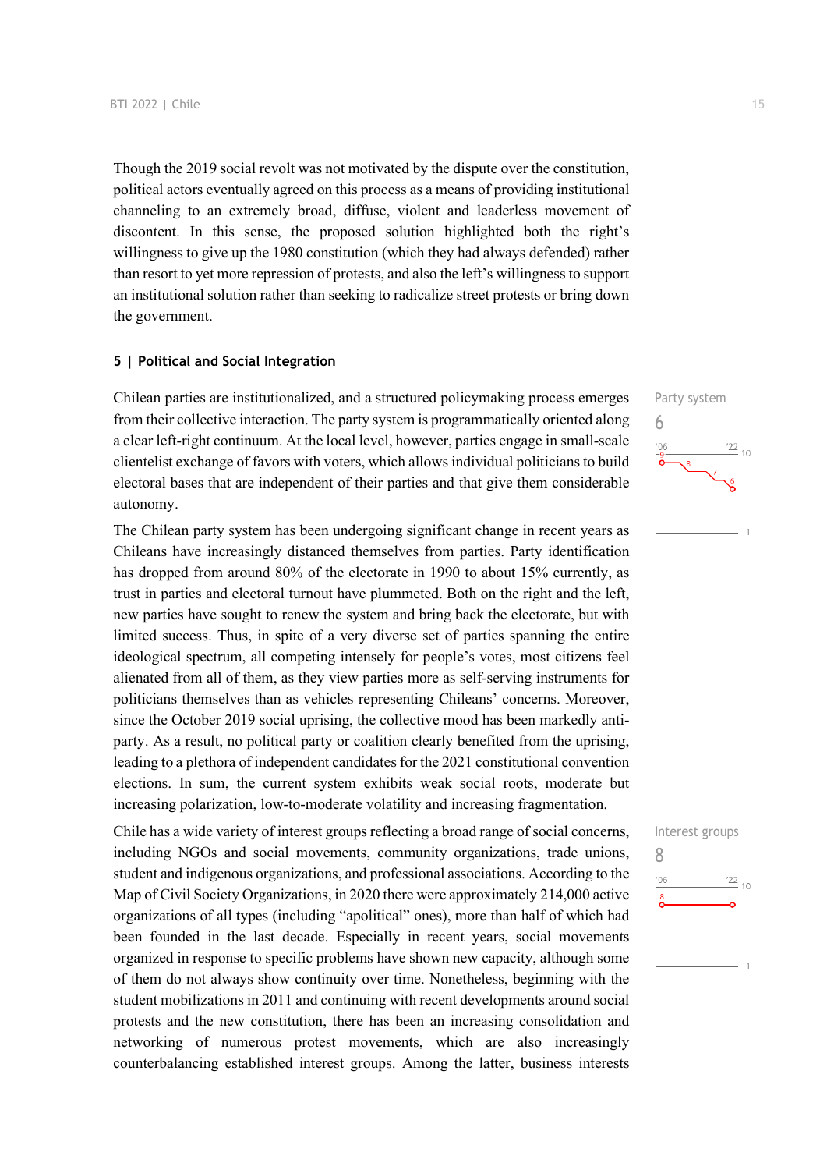Though the 2019 social revolt was not motivated by the dispute over the constitution, political actors eventually agreed on this process as a means of providing institutional channeling to an extremely broad, diffuse, violent and leaderless movement of discontent. In this sense, the proposed solution highlighted both the right's willingness to give up the 1980 constitution (which they had always defended) rather than resort to yet more repression of protests, and also the left's willingness to support an institutional solution rather than seeking to radicalize street protests or bring down the government.

#### **5 | Political and Social Integration**

Chilean parties are institutionalized, and a structured policymaking process emerges from their collective interaction. The party system is programmatically oriented along a clear left-right continuum. At the local level, however, parties engage in small-scale clientelist exchange of favors with voters, which allows individual politicians to build electoral bases that are independent of their parties and that give them considerable autonomy.

The Chilean party system has been undergoing significant change in recent years as Chileans have increasingly distanced themselves from parties. Party identification has dropped from around 80% of the electorate in 1990 to about 15% currently, as trust in parties and electoral turnout have plummeted. Both on the right and the left, new parties have sought to renew the system and bring back the electorate, but with limited success. Thus, in spite of a very diverse set of parties spanning the entire ideological spectrum, all competing intensely for people's votes, most citizens feel alienated from all of them, as they view parties more as self-serving instruments for politicians themselves than as vehicles representing Chileans' concerns. Moreover, since the October 2019 social uprising, the collective mood has been markedly antiparty. As a result, no political party or coalition clearly benefited from the uprising, leading to a plethora of independent candidates for the 2021 constitutional convention elections. In sum, the current system exhibits weak social roots, moderate but increasing polarization, low-to-moderate volatility and increasing fragmentation.

Chile has a wide variety of interest groups reflecting a broad range of social concerns, including NGOs and social movements, community organizations, trade unions, student and indigenous organizations, and professional associations. According to the Map of Civil Society Organizations, in 2020 there were approximately 214,000 active organizations of all types (including "apolitical" ones), more than half of which had been founded in the last decade. Especially in recent years, social movements organized in response to specific problems have shown new capacity, although some of them do not always show continuity over time. Nonetheless, beginning with the student mobilizations in 2011 and continuing with recent developments around social protests and the new constitution, there has been an increasing consolidation and networking of numerous protest movements, which are also increasingly counterbalancing established interest groups. Among the latter, business interests

Party system 6  $\frac{22}{10}$ 

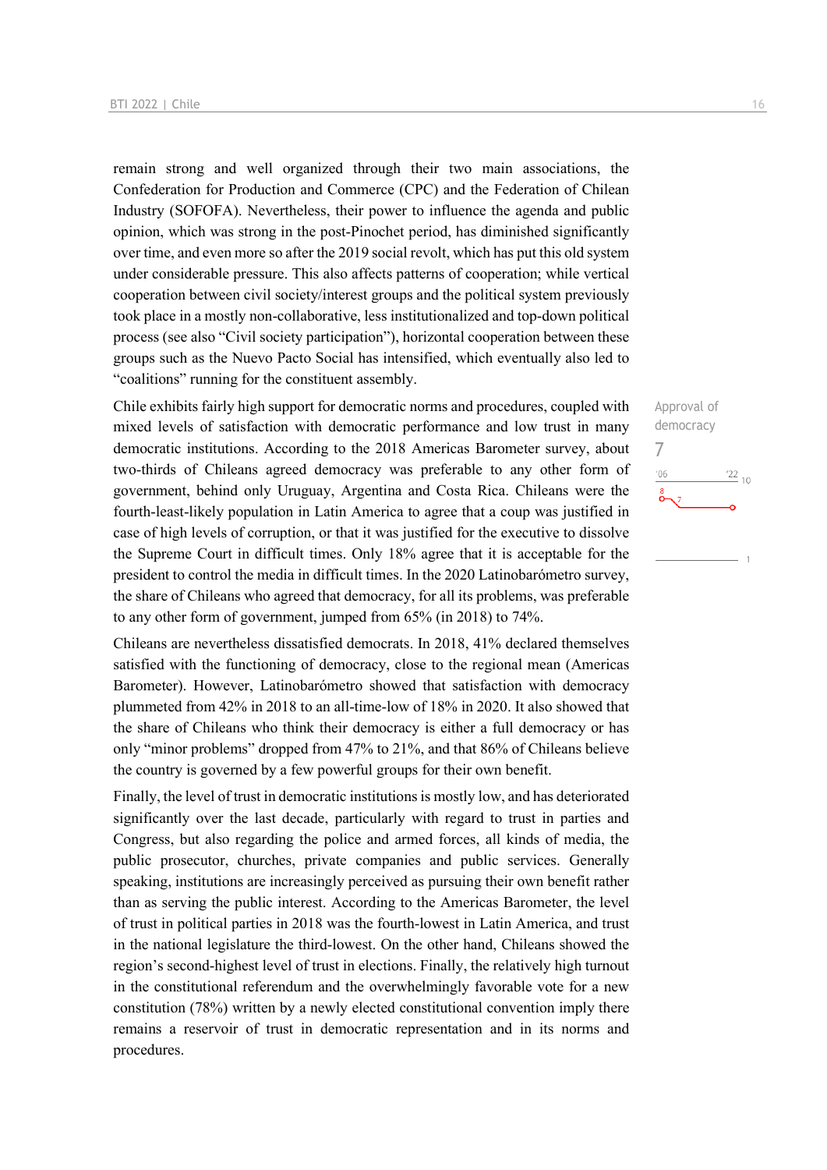remain strong and well organized through their two main associations, the Confederation for Production and Commerce (CPC) and the Federation of Chilean Industry (SOFOFA). Nevertheless, their power to influence the agenda and public opinion, which was strong in the post-Pinochet period, has diminished significantly over time, and even more so after the 2019 social revolt, which has put this old system under considerable pressure. This also affects patterns of cooperation; while vertical cooperation between civil society/interest groups and the political system previously took place in a mostly non-collaborative, less institutionalized and top-down political process (see also "Civil society participation"), horizontal cooperation between these groups such as the Nuevo Pacto Social has intensified, which eventually also led to "coalitions" running for the constituent assembly.

Chile exhibits fairly high support for democratic norms and procedures, coupled with mixed levels of satisfaction with democratic performance and low trust in many democratic institutions. According to the 2018 Americas Barometer survey, about two-thirds of Chileans agreed democracy was preferable to any other form of government, behind only Uruguay, Argentina and Costa Rica. Chileans were the fourth-least-likely population in Latin America to agree that a coup was justified in case of high levels of corruption, or that it was justified for the executive to dissolve the Supreme Court in difficult times. Only 18% agree that it is acceptable for the president to control the media in difficult times. In the 2020 Latinobarómetro survey, the share of Chileans who agreed that democracy, for all its problems, was preferable to any other form of government, jumped from 65% (in 2018) to 74%.

Chileans are nevertheless dissatisfied democrats. In 2018, 41% declared themselves satisfied with the functioning of democracy, close to the regional mean (Americas Barometer). However, Latinobarómetro showed that satisfaction with democracy plummeted from 42% in 2018 to an all-time-low of 18% in 2020. It also showed that the share of Chileans who think their democracy is either a full democracy or has only "minor problems" dropped from 47% to 21%, and that 86% of Chileans believe the country is governed by a few powerful groups for their own benefit.

Finally, the level of trust in democratic institutions is mostly low, and has deteriorated significantly over the last decade, particularly with regard to trust in parties and Congress, but also regarding the police and armed forces, all kinds of media, the public prosecutor, churches, private companies and public services. Generally speaking, institutions are increasingly perceived as pursuing their own benefit rather than as serving the public interest. According to the Americas Barometer, the level of trust in political parties in 2018 was the fourth-lowest in Latin America, and trust in the national legislature the third-lowest. On the other hand, Chileans showed the region's second-highest level of trust in elections. Finally, the relatively high turnout in the constitutional referendum and the overwhelmingly favorable vote for a new constitution (78%) written by a newly elected constitutional convention imply there remains a reservoir of trust in democratic representation and in its norms and procedures.

Approval of democracy 7 $-06$  $\frac{22}{10}$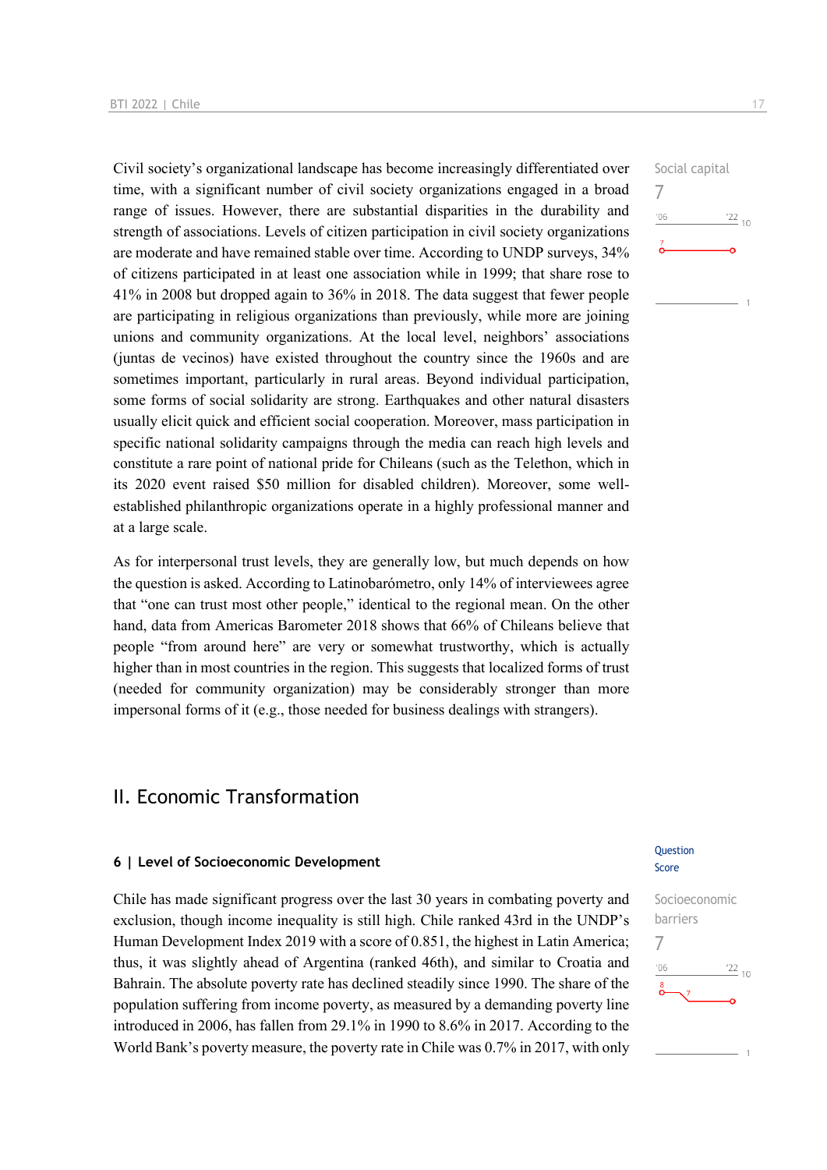Civil society's organizational landscape has become increasingly differentiated over time, with a significant number of civil society organizations engaged in a broad range of issues. However, there are substantial disparities in the durability and strength of associations. Levels of citizen participation in civil society organizations are moderate and have remained stable over time. According to UNDP surveys, 34% of citizens participated in at least one association while in 1999; that share rose to 41% in 2008 but dropped again to 36% in 2018. The data suggest that fewer people are participating in religious organizations than previously, while more are joining unions and community organizations. At the local level, neighbors' associations (juntas de vecinos) have existed throughout the country since the 1960s and are sometimes important, particularly in rural areas. Beyond individual participation, some forms of social solidarity are strong. Earthquakes and other natural disasters usually elicit quick and efficient social cooperation. Moreover, mass participation in specific national solidarity campaigns through the media can reach high levels and constitute a rare point of national pride for Chileans (such as the Telethon, which in its 2020 event raised \$50 million for disabled children). Moreover, some wellestablished philanthropic organizations operate in a highly professional manner and at a large scale.

As for interpersonal trust levels, they are generally low, but much depends on how the question is asked. According to Latinobarómetro, only 14% of interviewees agree that "one can trust most other people," identical to the regional mean. On the other hand, data from Americas Barometer 2018 shows that 66% of Chileans believe that people "from around here" are very or somewhat trustworthy, which is actually higher than in most countries in the region. This suggests that localized forms of trust (needed for community organization) may be considerably stronger than more impersonal forms of it (e.g., those needed for business dealings with strangers).

## II. Economic Transformation

#### **6 | Level of Socioeconomic Development**

Chile has made significant progress over the last 30 years in combating poverty and exclusion, though income inequality is still high. Chile ranked 43rd in the UNDP's Human Development Index 2019 with a score of 0.851, the highest in Latin America; thus, it was slightly ahead of Argentina (ranked 46th), and similar to Croatia and Bahrain. The absolute poverty rate has declined steadily since 1990. The share of the population suffering from income poverty, as measured by a demanding poverty line introduced in 2006, has fallen from 29.1% in 1990 to 8.6% in 2017. According to the World Bank's poverty measure, the poverty rate in Chile was 0.7% in 2017, with only Social capital 7  $\frac{22}{10}$  $106$ 

#### **Ouestion** Score

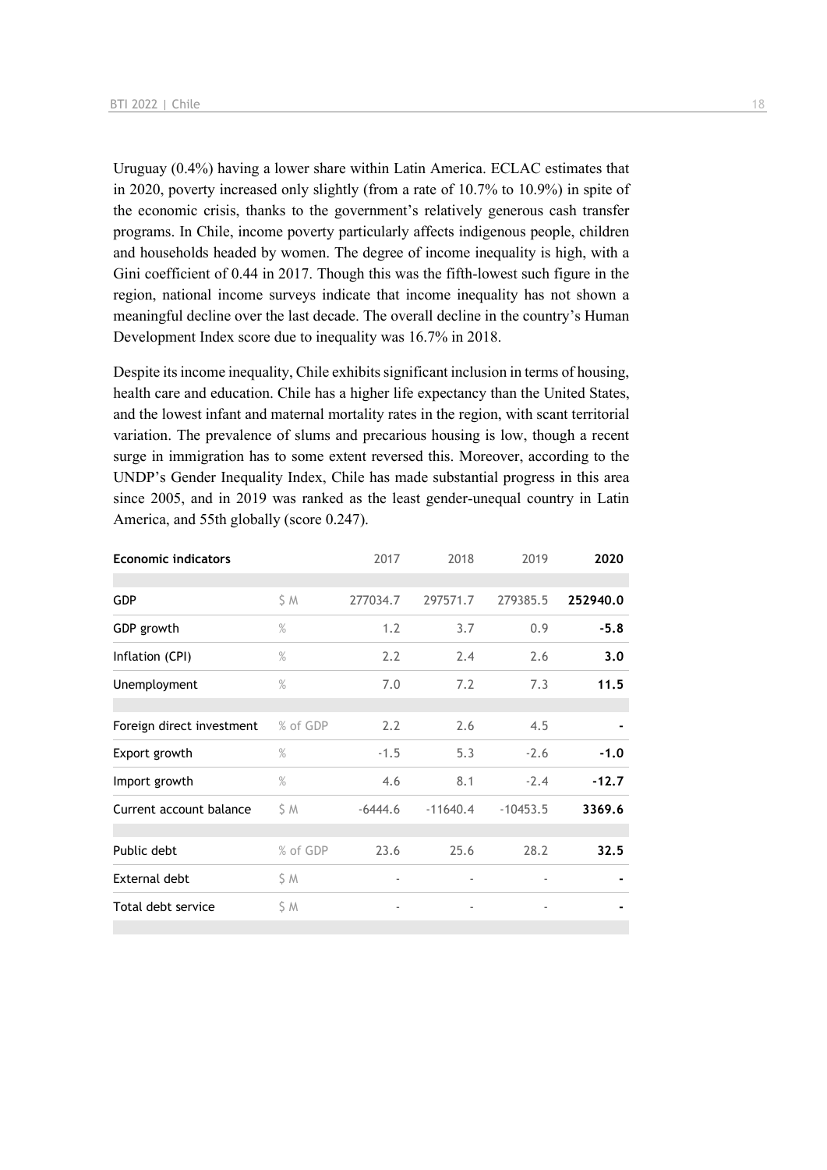Uruguay (0.4%) having a lower share within Latin America. ECLAC estimates that in 2020, poverty increased only slightly (from a rate of 10.7% to 10.9%) in spite of the economic crisis, thanks to the government's relatively generous cash transfer programs. In Chile, income poverty particularly affects indigenous people, children and households headed by women. The degree of income inequality is high, with a Gini coefficient of 0.44 in 2017. Though this was the fifth-lowest such figure in the region, national income surveys indicate that income inequality has not shown a meaningful decline over the last decade. The overall decline in the country's Human Development Index score due to inequality was 16.7% in 2018.

Despite its income inequality, Chile exhibits significant inclusion in terms of housing, health care and education. Chile has a higher life expectancy than the United States, and the lowest infant and maternal mortality rates in the region, with scant territorial variation. The prevalence of slums and precarious housing is low, though a recent surge in immigration has to some extent reversed this. Moreover, according to the UNDP's Gender Inequality Index, Chile has made substantial progress in this area since 2005, and in 2019 was ranked as the least gender-unequal country in Latin America, and 55th globally (score 0.247).

| <b>Economic indicators</b> |          | 2017                     | 2018                     | 2019                     | 2020     |
|----------------------------|----------|--------------------------|--------------------------|--------------------------|----------|
|                            |          |                          |                          |                          |          |
| <b>GDP</b>                 | \$ M     | 277034.7                 | 297571.7                 | 279385.5                 | 252940.0 |
| GDP growth                 | $\%$     | 1.2                      | 3.7                      | 0.9                      | $-5.8$   |
| Inflation (CPI)            | $\%$     | 2.2                      | 2.4                      | 2.6                      | 3.0      |
| Unemployment               | $\%$     | 7.0                      | 7.2                      | 7.3                      | 11.5     |
|                            |          |                          |                          |                          |          |
| Foreign direct investment  | % of GDP | 2.2                      | 2.6                      | 4.5                      |          |
| Export growth              | $\%$     | $-1.5$                   | 5.3                      | $-2.6$                   | $-1.0$   |
| Import growth              | $\%$     | 4.6                      | 8.1                      | $-2.4$                   | $-12.7$  |
| Current account balance    | \$ M     | $-6444.6$                | $-11640.4$               | $-10453.5$               | 3369.6   |
|                            |          |                          |                          |                          |          |
| Public debt                | % of GDP | 23.6                     | 25.6                     | 28.2                     | 32.5     |
| External debt              | \$ M     | $\overline{\phantom{a}}$ |                          | $\overline{\phantom{a}}$ |          |
| Total debt service         | \$ M     | $\overline{\phantom{a}}$ | $\overline{\phantom{a}}$ | $\overline{\phantom{a}}$ |          |
|                            |          |                          |                          |                          |          |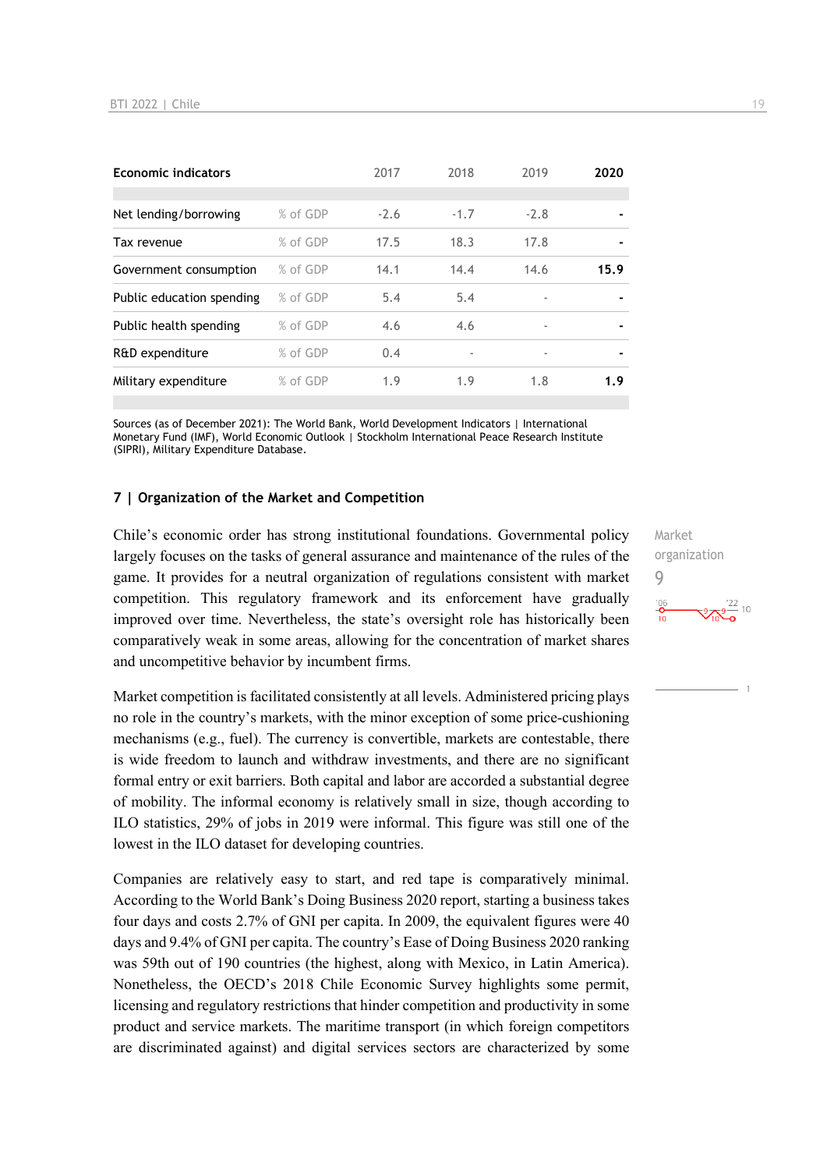| <b>Economic indicators</b> |          | 2017   | 2018   | 2019                     | 2020           |
|----------------------------|----------|--------|--------|--------------------------|----------------|
|                            |          |        |        |                          |                |
| Net lending/borrowing      | % of GDP | $-2.6$ | $-1.7$ | $-2.8$                   |                |
| Tax revenue                | % of GDP | 17.5   | 18.3   | 17.8                     |                |
| Government consumption     | % of GDP | 14.1   | 14.4   | 14.6                     | 15.9           |
| Public education spending  | % of GDP | 5.4    | 5.4    | ٠                        |                |
| Public health spending     | % of GDP | 4.6    | 4.6    | $\blacksquare$           | $\blacksquare$ |
| R&D expenditure            | % of GDP | 0.4    |        | $\overline{\phantom{a}}$ | $\blacksquare$ |
| Military expenditure       | % of GDP | 1.9    | 1.9    | 1.8                      | 1.9            |

Sources (as of December 2021): The World Bank, World Development Indicators | International Monetary Fund (IMF), World Economic Outlook | Stockholm International Peace Research Institute (SIPRI), Military Expenditure Database.

#### **7 | Organization of the Market and Competition**

Chile's economic order has strong institutional foundations. Governmental policy largely focuses on the tasks of general assurance and maintenance of the rules of the game. It provides for a neutral organization of regulations consistent with market competition. This regulatory framework and its enforcement have gradually improved over time. Nevertheless, the state's oversight role has historically been comparatively weak in some areas, allowing for the concentration of market shares and uncompetitive behavior by incumbent firms.

Market competition is facilitated consistently at all levels. Administered pricing plays no role in the country's markets, with the minor exception of some price-cushioning mechanisms (e.g., fuel). The currency is convertible, markets are contestable, there is wide freedom to launch and withdraw investments, and there are no significant formal entry or exit barriers. Both capital and labor are accorded a substantial degree of mobility. The informal economy is relatively small in size, though according to ILO statistics, 29% of jobs in 2019 were informal. This figure was still one of the lowest in the ILO dataset for developing countries.

Companies are relatively easy to start, and red tape is comparatively minimal. According to the World Bank's Doing Business 2020 report, starting a business takes four days and costs 2.7% of GNI per capita. In 2009, the equivalent figures were 40 days and 9.4% of GNI per capita. The country's Ease of Doing Business 2020 ranking was 59th out of 190 countries (the highest, along with Mexico, in Latin America). Nonetheless, the OECD's 2018 Chile Economic Survey highlights some permit, licensing and regulatory restrictions that hinder competition and productivity in some product and service markets. The maritime transport (in which foreign competitors are discriminated against) and digital services sectors are characterized by some

Market organization 9 $\frac{106}{10}$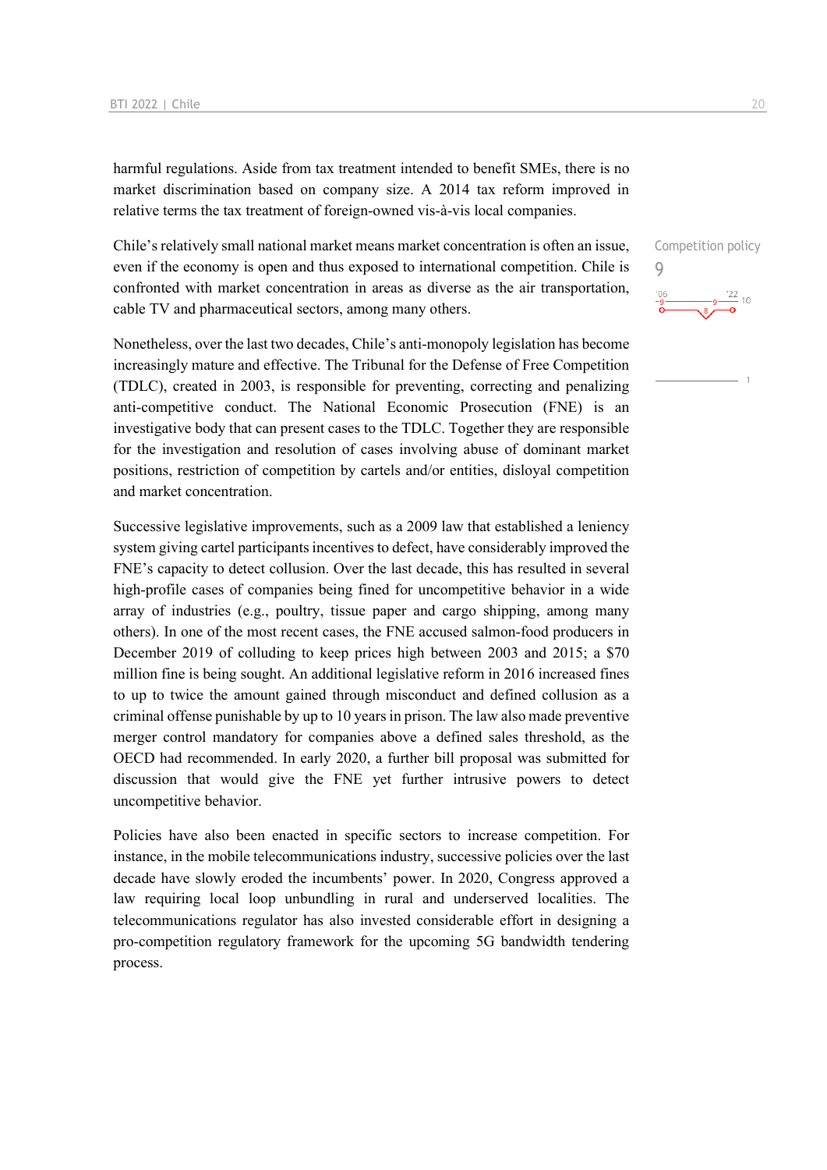harmful regulations. Aside from tax treatment intended to benefit SMEs, there is no market discrimination based on company size. A 2014 tax reform improved in relative terms the tax treatment of foreign-owned vis-à-vis local companies.

Chile's relatively small national market means market concentration is often an issue, even if the economy is open and thus exposed to international competition. Chile is confronted with market concentration in areas as diverse as the air transportation, cable TV and pharmaceutical sectors, among many others.

Nonetheless, over the last two decades, Chile's anti-monopoly legislation has become increasingly mature and effective. The Tribunal for the Defense of Free Competition (TDLC), created in 2003, is responsible for preventing, correcting and penalizing anti-competitive conduct. The National Economic Prosecution (FNE) is an investigative body that can present cases to the TDLC. Together they are responsible for the investigation and resolution of cases involving abuse of dominant market positions, restriction of competition by cartels and/or entities, disloyal competition and market concentration.

Successive legislative improvements, such as a 2009 law that established a leniency system giving cartel participants incentives to defect, have considerably improved the FNE's capacity to detect collusion. Over the last decade, this has resulted in several high-profile cases of companies being fined for uncompetitive behavior in a wide array of industries (e.g., poultry, tissue paper and cargo shipping, among many others). In one of the most recent cases, the FNE accused salmon-food producers in December 2019 of colluding to keep prices high between 2003 and 2015; a \$70 million fine is being sought. An additional legislative reform in 2016 increased fines to up to twice the amount gained through misconduct and defined collusion as a criminal offense punishable by up to 10 years in prison. The law also made preventive merger control mandatory for companies above a defined sales threshold, as the OECD had recommended. In early 2020, a further bill proposal was submitted for discussion that would give the FNE yet further intrusive powers to detect uncompetitive behavior.

Policies have also been enacted in specific sectors to increase competition. For instance, in the mobile telecommunications industry, successive policies over the last decade have slowly eroded the incumbents' power. In 2020, Congress approved a law requiring local loop unbundling in rural and underserved localities. The telecommunications regulator has also invested considerable effort in designing a pro-competition regulatory framework for the upcoming 5G bandwidth tendering process.

Competition policy 9 $\frac{22}{10}$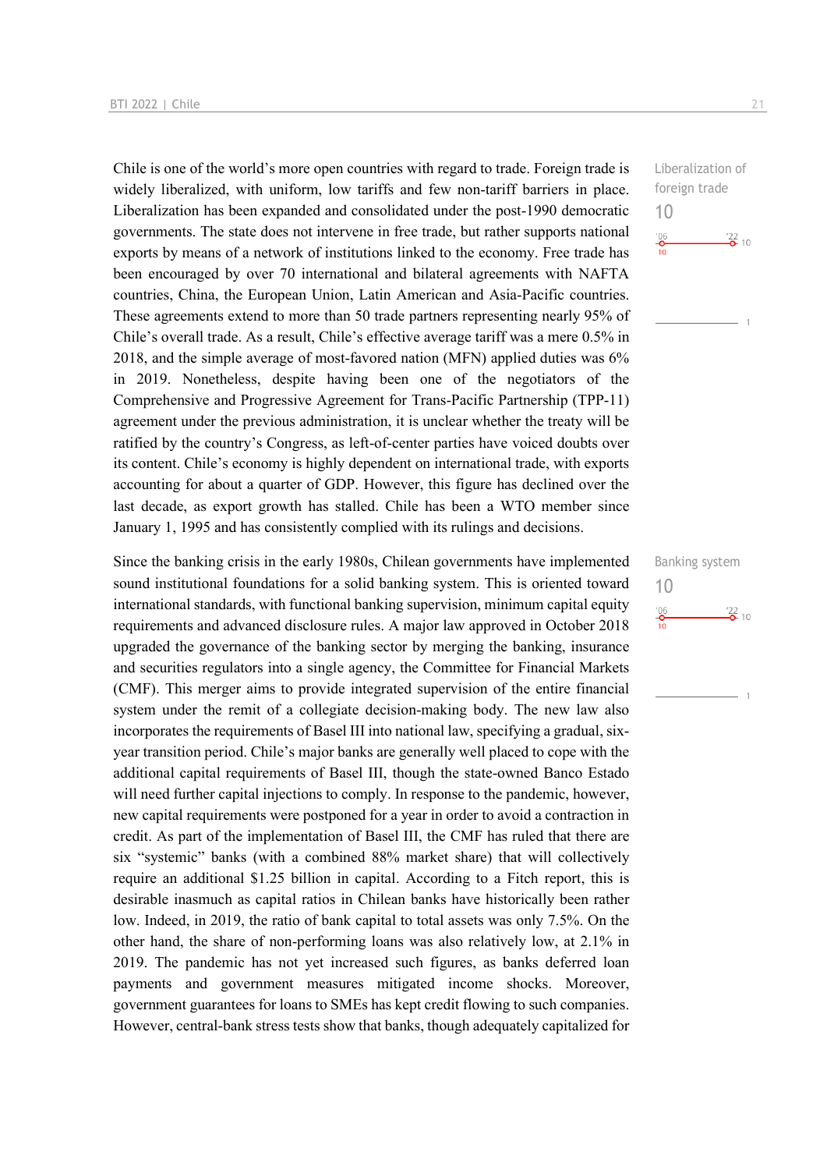Chile is one of the world's more open countries with regard to trade. Foreign trade is widely liberalized, with uniform, low tariffs and few non-tariff barriers in place. Liberalization has been expanded and consolidated under the post-1990 democratic governments. The state does not intervene in free trade, but rather supports national exports by means of a network of institutions linked to the economy. Free trade has been encouraged by over 70 international and bilateral agreements with NAFTA countries, China, the European Union, Latin American and Asia-Pacific countries. These agreements extend to more than 50 trade partners representing nearly 95% of Chile's overall trade. As a result, Chile's effective average tariff was a mere 0.5% in 2018, and the simple average of most-favored nation (MFN) applied duties was 6% in 2019. Nonetheless, despite having been one of the negotiators of the Comprehensive and Progressive Agreement for Trans-Pacific Partnership (TPP-11) agreement under the previous administration, it is unclear whether the treaty will be ratified by the country's Congress, as left-of-center parties have voiced doubts over its content. Chile's economy is highly dependent on international trade, with exports accounting for about a quarter of GDP. However, this figure has declined over the last decade, as export growth has stalled. Chile has been a WTO member since January 1, 1995 and has consistently complied with its rulings and decisions.

Since the banking crisis in the early 1980s, Chilean governments have implemented sound institutional foundations for a solid banking system. This is oriented toward international standards, with functional banking supervision, minimum capital equity requirements and advanced disclosure rules. A major law approved in October 2018 upgraded the governance of the banking sector by merging the banking, insurance and securities regulators into a single agency, the Committee for Financial Markets (CMF). This merger aims to provide integrated supervision of the entire financial system under the remit of a collegiate decision-making body. The new law also incorporates the requirements of Basel III into national law, specifying a gradual, sixyear transition period. Chile's major banks are generally well placed to cope with the additional capital requirements of Basel III, though the state-owned Banco Estado will need further capital injections to comply. In response to the pandemic, however, new capital requirements were postponed for a year in order to avoid a contraction in credit. As part of the implementation of Basel III, the CMF has ruled that there are six "systemic" banks (with a combined 88% market share) that will collectively require an additional \$1.25 billion in capital. According to a Fitch report, this is desirable inasmuch as capital ratios in Chilean banks have historically been rather low. Indeed, in 2019, the ratio of bank capital to total assets was only 7.5%. On the other hand, the share of non-performing loans was also relatively low, at 2.1% in 2019. The pandemic has not yet increased such figures, as banks deferred loan payments and government measures mitigated income shocks. Moreover, government guarantees for loans to SMEs has kept credit flowing to such companies. However, central-bank stress tests show that banks, though adequately capitalized for

Liberalization of foreign trade 10  $rac{106}{10}$  $\frac{22}{2}$  10

Banking system 10 $\frac{106}{10}$  $\frac{22}{2}$  10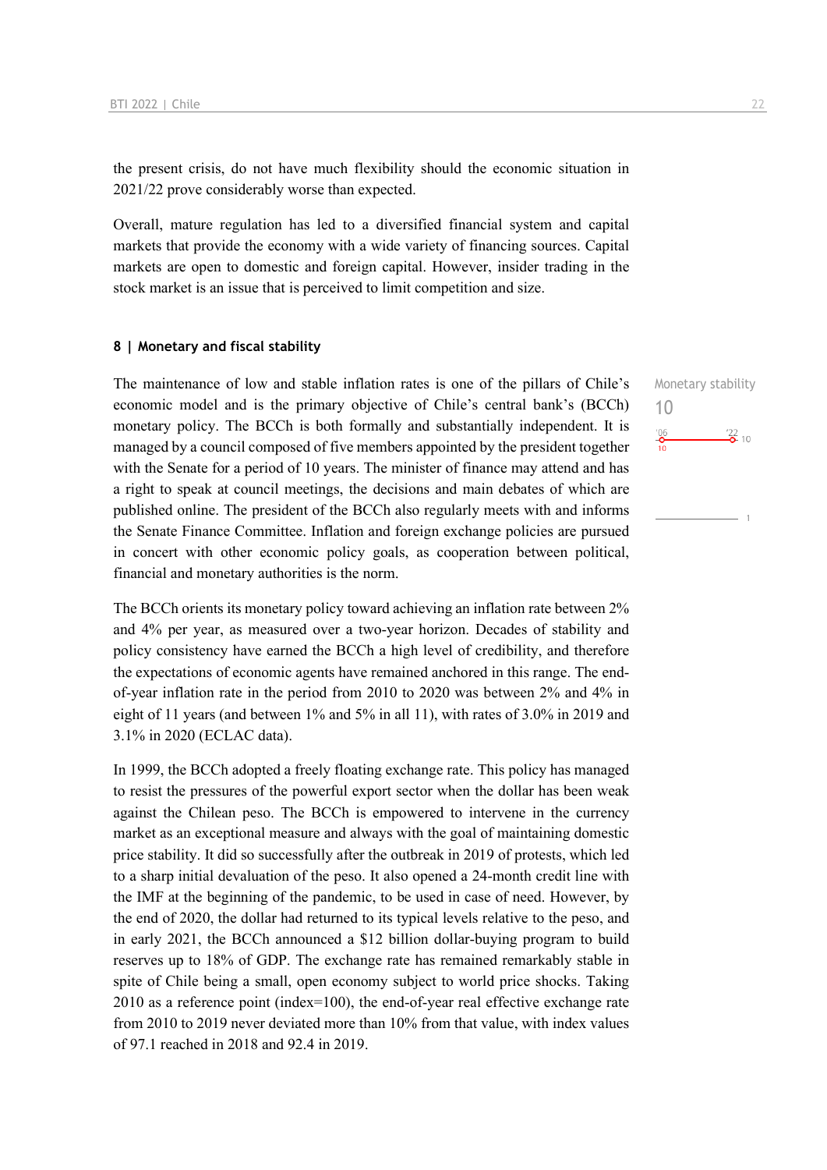the present crisis, do not have much flexibility should the economic situation in 2021/22 prove considerably worse than expected.

Overall, mature regulation has led to a diversified financial system and capital markets that provide the economy with a wide variety of financing sources. Capital markets are open to domestic and foreign capital. However, insider trading in the stock market is an issue that is perceived to limit competition and size.

#### **8 | Monetary and fiscal stability**

The maintenance of low and stable inflation rates is one of the pillars of Chile's economic model and is the primary objective of Chile's central bank's (BCCh) monetary policy. The BCCh is both formally and substantially independent. It is managed by a council composed of five members appointed by the president together with the Senate for a period of 10 years. The minister of finance may attend and has a right to speak at council meetings, the decisions and main debates of which are published online. The president of the BCCh also regularly meets with and informs the Senate Finance Committee. Inflation and foreign exchange policies are pursued in concert with other economic policy goals, as cooperation between political, financial and monetary authorities is the norm.

The BCCh orients its monetary policy toward achieving an inflation rate between 2% and 4% per year, as measured over a two-year horizon. Decades of stability and policy consistency have earned the BCCh a high level of credibility, and therefore the expectations of economic agents have remained anchored in this range. The endof-year inflation rate in the period from 2010 to 2020 was between 2% and 4% in eight of 11 years (and between 1% and 5% in all 11), with rates of 3.0% in 2019 and 3.1% in 2020 (ECLAC data).

In 1999, the BCCh adopted a freely floating exchange rate. This policy has managed to resist the pressures of the powerful export sector when the dollar has been weak against the Chilean peso. The BCCh is empowered to intervene in the currency market as an exceptional measure and always with the goal of maintaining domestic price stability. It did so successfully after the outbreak in 2019 of protests, which led to a sharp initial devaluation of the peso. It also opened a 24-month credit line with the IMF at the beginning of the pandemic, to be used in case of need. However, by the end of 2020, the dollar had returned to its typical levels relative to the peso, and in early 2021, the BCCh announced a \$12 billion dollar-buying program to build reserves up to 18% of GDP. The exchange rate has remained remarkably stable in spite of Chile being a small, open economy subject to world price shocks. Taking 2010 as a reference point (index=100), the end-of-year real effective exchange rate from 2010 to 2019 never deviated more than 10% from that value, with index values of 97.1 reached in 2018 and 92.4 in 2019.

Monetary stability

 $\frac{22}{2}$  10

10 $^{206}$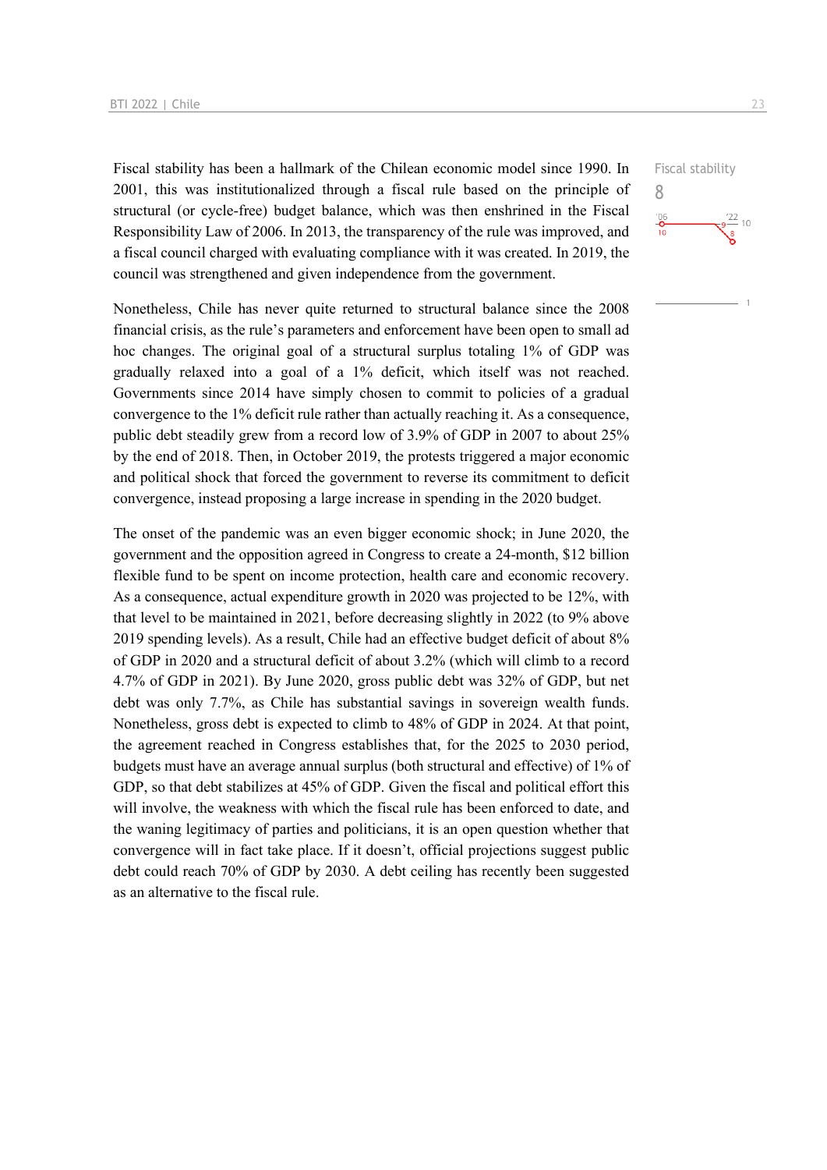Fiscal stability has been a hallmark of the Chilean economic model since 1990. In 2001, this was institutionalized through a fiscal rule based on the principle of structural (or cycle-free) budget balance, which was then enshrined in the Fiscal Responsibility Law of 2006. In 2013, the transparency of the rule was improved, and a fiscal council charged with evaluating compliance with it was created. In 2019, the council was strengthened and given independence from the government.

Nonetheless, Chile has never quite returned to structural balance since the 2008 financial crisis, as the rule's parameters and enforcement have been open to small ad hoc changes. The original goal of a structural surplus totaling 1% of GDP was gradually relaxed into a goal of a 1% deficit, which itself was not reached. Governments since 2014 have simply chosen to commit to policies of a gradual convergence to the 1% deficit rule rather than actually reaching it. As a consequence, public debt steadily grew from a record low of 3.9% of GDP in 2007 to about 25% by the end of 2018. Then, in October 2019, the protests triggered a major economic and political shock that forced the government to reverse its commitment to deficit convergence, instead proposing a large increase in spending in the 2020 budget.

The onset of the pandemic was an even bigger economic shock; in June 2020, the government and the opposition agreed in Congress to create a 24-month, \$12 billion flexible fund to be spent on income protection, health care and economic recovery. As a consequence, actual expenditure growth in 2020 was projected to be 12%, with that level to be maintained in 2021, before decreasing slightly in 2022 (to 9% above 2019 spending levels). As a result, Chile had an effective budget deficit of about 8% of GDP in 2020 and a structural deficit of about 3.2% (which will climb to a record 4.7% of GDP in 2021). By June 2020, gross public debt was 32% of GDP, but net debt was only 7.7%, as Chile has substantial savings in sovereign wealth funds. Nonetheless, gross debt is expected to climb to 48% of GDP in 2024. At that point, the agreement reached in Congress establishes that, for the 2025 to 2030 period, budgets must have an average annual surplus (both structural and effective) of 1% of GDP, so that debt stabilizes at 45% of GDP. Given the fiscal and political effort this will involve, the weakness with which the fiscal rule has been enforced to date, and the waning legitimacy of parties and politicians, it is an open question whether that convergence will in fact take place. If it doesn't, official projections suggest public debt could reach 70% of GDP by 2030. A debt ceiling has recently been suggested as an alternative to the fiscal rule.

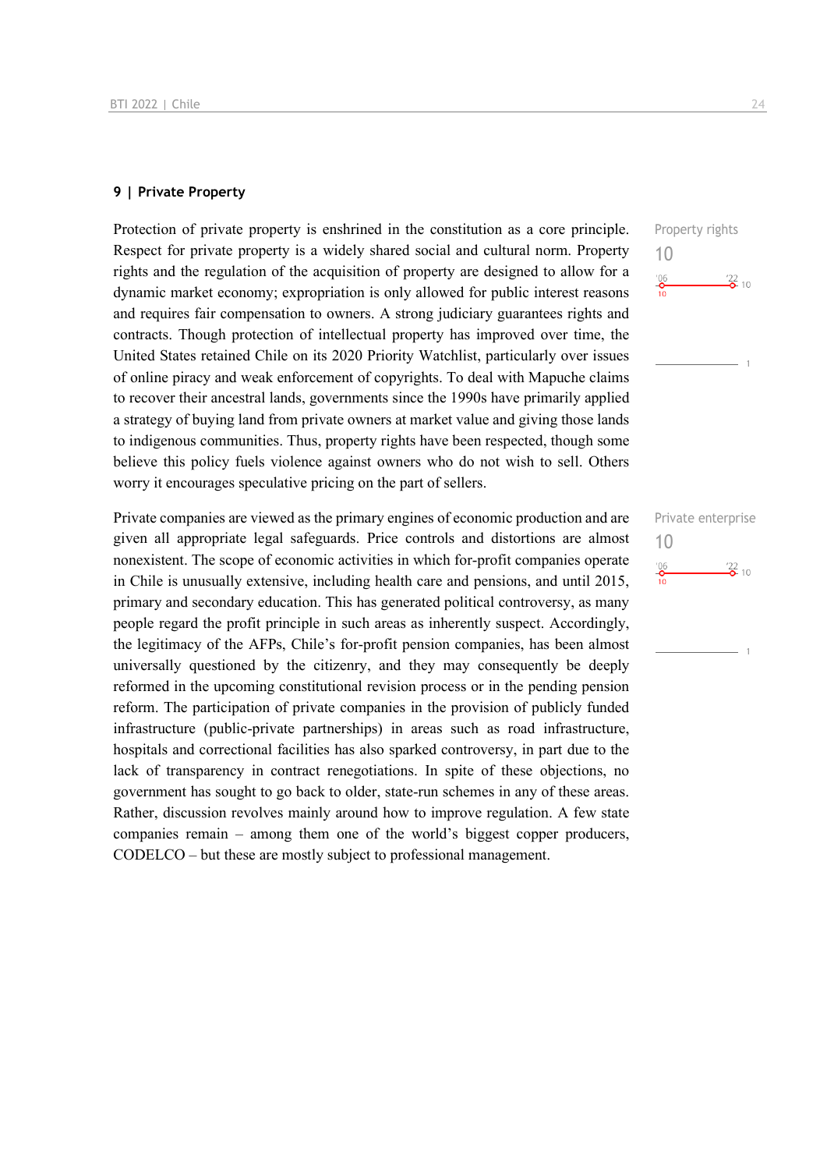#### **9 | Private Property**

Protection of private property is enshrined in the constitution as a core principle. Respect for private property is a widely shared social and cultural norm. Property rights and the regulation of the acquisition of property are designed to allow for a dynamic market economy; expropriation is only allowed for public interest reasons and requires fair compensation to owners. A strong judiciary guarantees rights and contracts. Though protection of intellectual property has improved over time, the United States retained Chile on its 2020 Priority Watchlist, particularly over issues of online piracy and weak enforcement of copyrights. To deal with Mapuche claims to recover their ancestral lands, governments since the 1990s have primarily applied a strategy of buying land from private owners at market value and giving those lands to indigenous communities. Thus, property rights have been respected, though some believe this policy fuels violence against owners who do not wish to sell. Others worry it encourages speculative pricing on the part of sellers.

Private companies are viewed as the primary engines of economic production and are given all appropriate legal safeguards. Price controls and distortions are almost nonexistent. The scope of economic activities in which for-profit companies operate in Chile is unusually extensive, including health care and pensions, and until 2015, primary and secondary education. This has generated political controversy, as many people regard the profit principle in such areas as inherently suspect. Accordingly, the legitimacy of the AFPs, Chile's for-profit pension companies, has been almost universally questioned by the citizenry, and they may consequently be deeply reformed in the upcoming constitutional revision process or in the pending pension reform. The participation of private companies in the provision of publicly funded infrastructure (public-private partnerships) in areas such as road infrastructure, hospitals and correctional facilities has also sparked controversy, in part due to the lack of transparency in contract renegotiations. In spite of these objections, no government has sought to go back to older, state-run schemes in any of these areas. Rather, discussion revolves mainly around how to improve regulation. A few state companies remain – among them one of the world's biggest copper producers, CODELCO – but these are mostly subject to professional management.



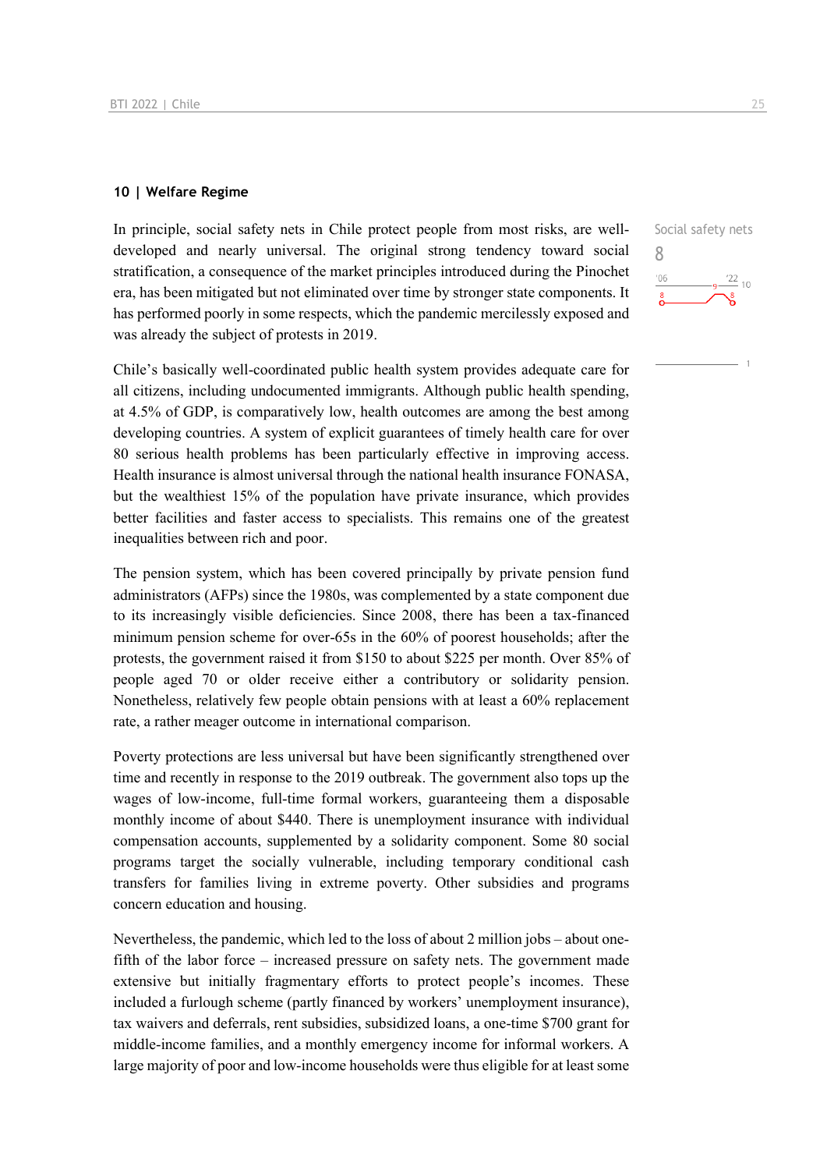#### **10 | Welfare Regime**

In principle, social safety nets in Chile protect people from most risks, are welldeveloped and nearly universal. The original strong tendency toward social stratification, a consequence of the market principles introduced during the Pinochet era, has been mitigated but not eliminated over time by stronger state components. It has performed poorly in some respects, which the pandemic mercilessly exposed and was already the subject of protests in 2019.

Chile's basically well-coordinated public health system provides adequate care for all citizens, including undocumented immigrants. Although public health spending, at 4.5% of GDP, is comparatively low, health outcomes are among the best among developing countries. A system of explicit guarantees of timely health care for over 80 serious health problems has been particularly effective in improving access. Health insurance is almost universal through the national health insurance FONASA, but the wealthiest 15% of the population have private insurance, which provides better facilities and faster access to specialists. This remains one of the greatest inequalities between rich and poor.

The pension system, which has been covered principally by private pension fund administrators (AFPs) since the 1980s, was complemented by a state component due to its increasingly visible deficiencies. Since 2008, there has been a tax-financed minimum pension scheme for over-65s in the 60% of poorest households; after the protests, the government raised it from \$150 to about \$225 per month. Over 85% of people aged 70 or older receive either a contributory or solidarity pension. Nonetheless, relatively few people obtain pensions with at least a 60% replacement rate, a rather meager outcome in international comparison.

Poverty protections are less universal but have been significantly strengthened over time and recently in response to the 2019 outbreak. The government also tops up the wages of low-income, full-time formal workers, guaranteeing them a disposable monthly income of about \$440. There is unemployment insurance with individual compensation accounts, supplemented by a solidarity component. Some 80 social programs target the socially vulnerable, including temporary conditional cash transfers for families living in extreme poverty. Other subsidies and programs concern education and housing.

Nevertheless, the pandemic, which led to the loss of about 2 million jobs – about onefifth of the labor force – increased pressure on safety nets. The government made extensive but initially fragmentary efforts to protect people's incomes. These included a furlough scheme (partly financed by workers' unemployment insurance), tax waivers and deferrals, rent subsidies, subsidized loans, a one-time \$700 grant for middle-income families, and a monthly emergency income for informal workers. A large majority of poor and low-income households were thus eligible for at least some Social safety nets

 $\frac{22}{10}$ 

8

 $^{\prime}06$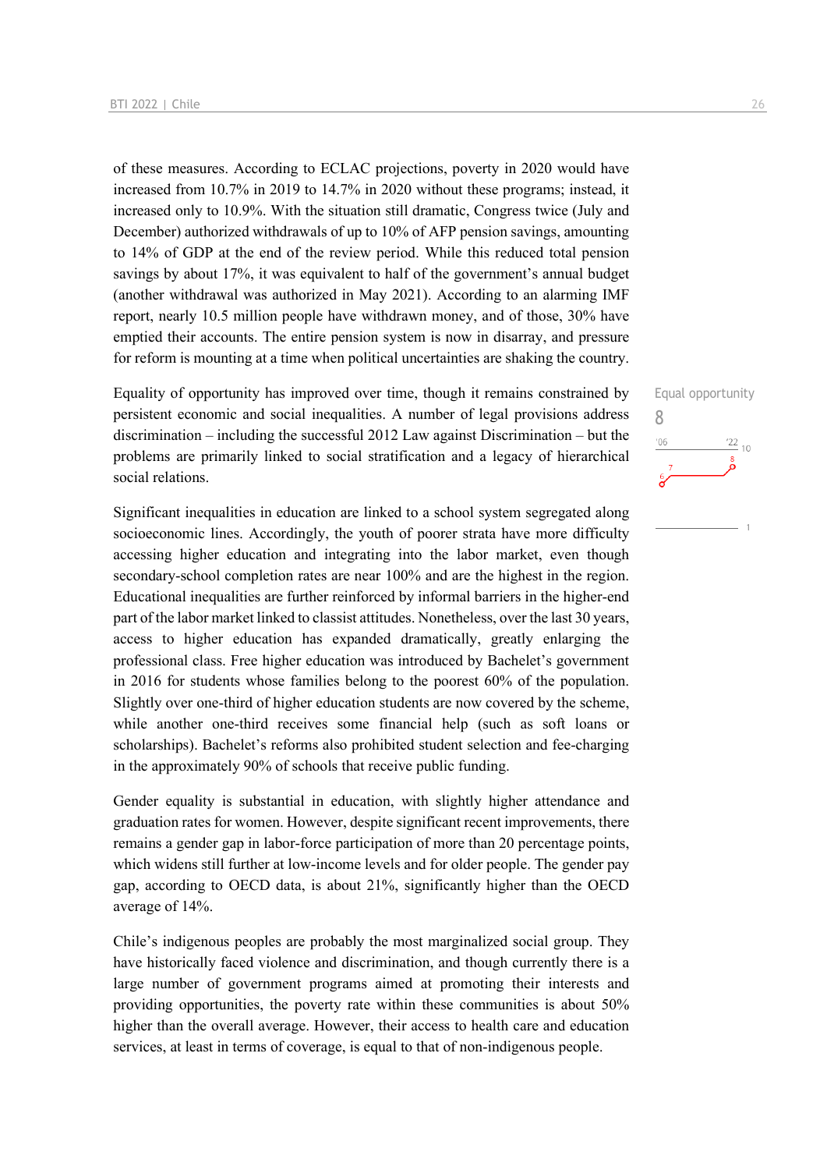of these measures. According to ECLAC projections, poverty in 2020 would have increased from 10.7% in 2019 to 14.7% in 2020 without these programs; instead, it increased only to 10.9%. With the situation still dramatic, Congress twice (July and December) authorized withdrawals of up to 10% of AFP pension savings, amounting to 14% of GDP at the end of the review period. While this reduced total pension savings by about 17%, it was equivalent to half of the government's annual budget (another withdrawal was authorized in May 2021). According to an alarming IMF report, nearly 10.5 million people have withdrawn money, and of those, 30% have emptied their accounts. The entire pension system is now in disarray, and pressure for reform is mounting at a time when political uncertainties are shaking the country.

Equality of opportunity has improved over time, though it remains constrained by persistent economic and social inequalities. A number of legal provisions address discrimination – including the successful 2012 Law against Discrimination – but the problems are primarily linked to social stratification and a legacy of hierarchical social relations.

Significant inequalities in education are linked to a school system segregated along socioeconomic lines. Accordingly, the youth of poorer strata have more difficulty accessing higher education and integrating into the labor market, even though secondary-school completion rates are near 100% and are the highest in the region. Educational inequalities are further reinforced by informal barriers in the higher-end part of the labor market linked to classist attitudes. Nonetheless, over the last 30 years, access to higher education has expanded dramatically, greatly enlarging the professional class. Free higher education was introduced by Bachelet's government in 2016 for students whose families belong to the poorest 60% of the population. Slightly over one-third of higher education students are now covered by the scheme, while another one-third receives some financial help (such as soft loans or scholarships). Bachelet's reforms also prohibited student selection and fee-charging in the approximately 90% of schools that receive public funding.

Gender equality is substantial in education, with slightly higher attendance and graduation rates for women. However, despite significant recent improvements, there remains a gender gap in labor-force participation of more than 20 percentage points, which widens still further at low-income levels and for older people. The gender pay gap, according to OECD data, is about 21%, significantly higher than the OECD average of 14%.

Chile's indigenous peoples are probably the most marginalized social group. They have historically faced violence and discrimination, and though currently there is a large number of government programs aimed at promoting their interests and providing opportunities, the poverty rate within these communities is about 50% higher than the overall average. However, their access to health care and education services, at least in terms of coverage, is equal to that of non-indigenous people.

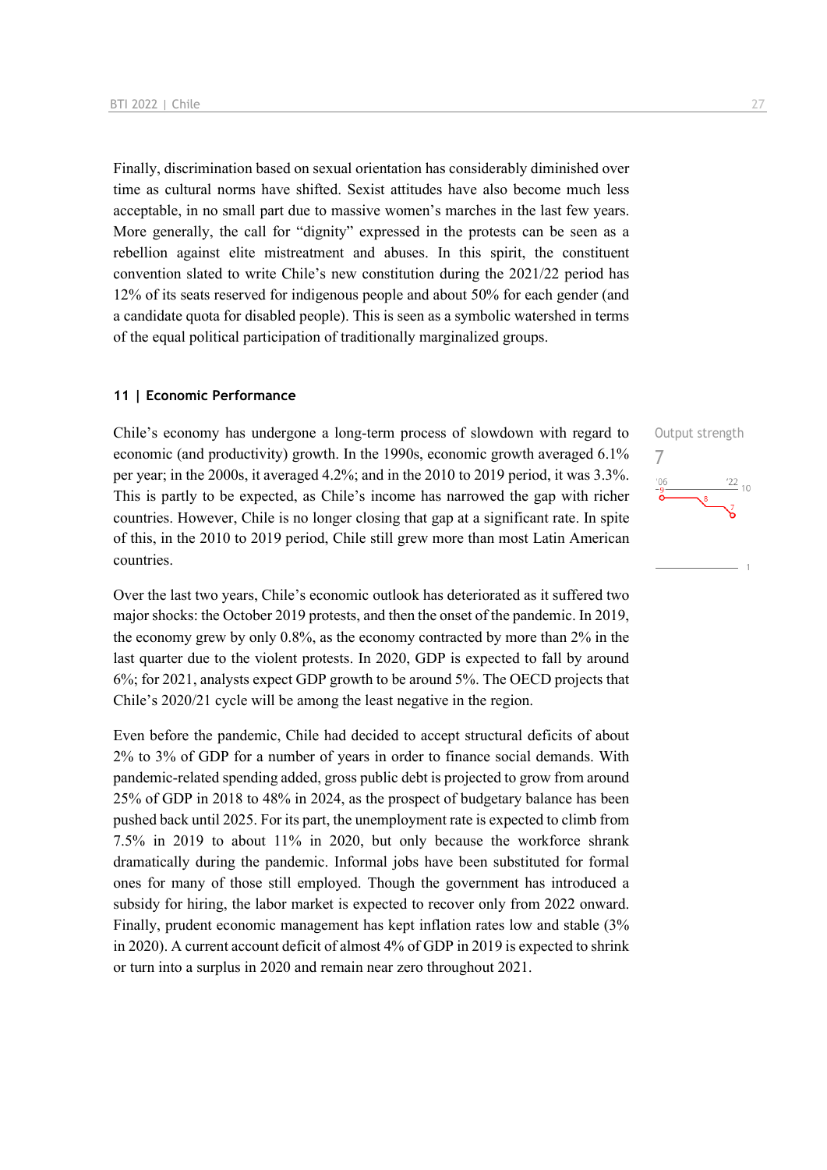Finally, discrimination based on sexual orientation has considerably diminished over time as cultural norms have shifted. Sexist attitudes have also become much less acceptable, in no small part due to massive women's marches in the last few years. More generally, the call for "dignity" expressed in the protests can be seen as a rebellion against elite mistreatment and abuses. In this spirit, the constituent convention slated to write Chile's new constitution during the 2021/22 period has 12% of its seats reserved for indigenous people and about 50% for each gender (and a candidate quota for disabled people). This is seen as a symbolic watershed in terms of the equal political participation of traditionally marginalized groups.

#### **11 | Economic Performance**

Chile's economy has undergone a long-term process of slowdown with regard to economic (and productivity) growth. In the 1990s, economic growth averaged 6.1% per year; in the 2000s, it averaged 4.2%; and in the 2010 to 2019 period, it was 3.3%. This is partly to be expected, as Chile's income has narrowed the gap with richer countries. However, Chile is no longer closing that gap at a significant rate. In spite of this, in the 2010 to 2019 period, Chile still grew more than most Latin American countries.

Over the last two years, Chile's economic outlook has deteriorated as it suffered two major shocks: the October 2019 protests, and then the onset of the pandemic. In 2019, the economy grew by only 0.8%, as the economy contracted by more than 2% in the last quarter due to the violent protests. In 2020, GDP is expected to fall by around 6%; for 2021, analysts expect GDP growth to be around 5%. The OECD projects that Chile's 2020/21 cycle will be among the least negative in the region.

Even before the pandemic, Chile had decided to accept structural deficits of about 2% to 3% of GDP for a number of years in order to finance social demands. With pandemic-related spending added, gross public debt is projected to grow from around 25% of GDP in 2018 to 48% in 2024, as the prospect of budgetary balance has been pushed back until 2025. For its part, the unemployment rate is expected to climb from 7.5% in 2019 to about 11% in 2020, but only because the workforce shrank dramatically during the pandemic. Informal jobs have been substituted for formal ones for many of those still employed. Though the government has introduced a subsidy for hiring, the labor market is expected to recover only from 2022 onward. Finally, prudent economic management has kept inflation rates low and stable (3% in 2020). A current account deficit of almost 4% of GDP in 2019 is expected to shrink or turn into a surplus in 2020 and remain near zero throughout 2021.

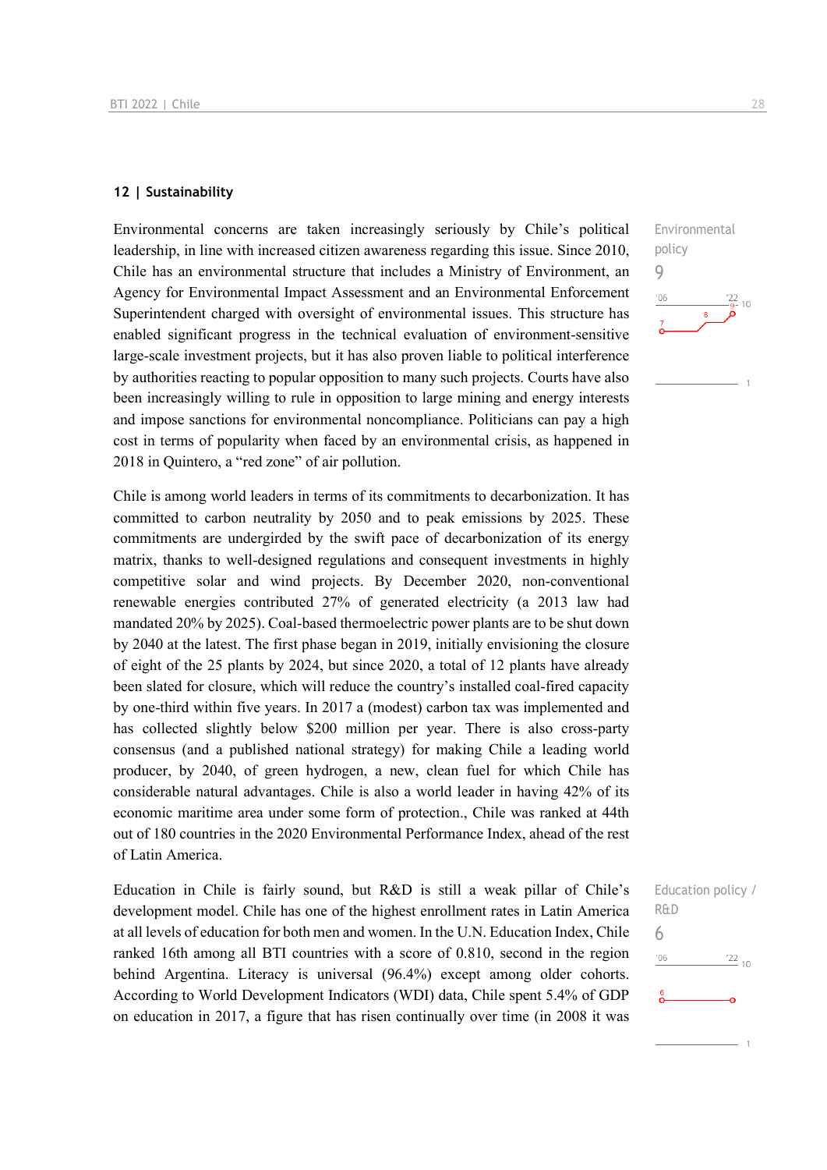#### **12 | Sustainability**

Environmental concerns are taken increasingly seriously by Chile's political leadership, in line with increased citizen awareness regarding this issue. Since 2010, Chile has an environmental structure that includes a Ministry of Environment, an Agency for Environmental Impact Assessment and an Environmental Enforcement Superintendent charged with oversight of environmental issues. This structure has enabled significant progress in the technical evaluation of environment-sensitive large-scale investment projects, but it has also proven liable to political interference by authorities reacting to popular opposition to many such projects. Courts have also been increasingly willing to rule in opposition to large mining and energy interests and impose sanctions for environmental noncompliance. Politicians can pay a high cost in terms of popularity when faced by an environmental crisis, as happened in 2018 in Quintero, a "red zone" of air pollution.

Chile is among world leaders in terms of its commitments to decarbonization. It has committed to carbon neutrality by 2050 and to peak emissions by 2025. These commitments are undergirded by the swift pace of decarbonization of its energy matrix, thanks to well-designed regulations and consequent investments in highly competitive solar and wind projects. By December 2020, non-conventional renewable energies contributed 27% of generated electricity (a 2013 law had mandated 20% by 2025). Coal-based thermoelectric power plants are to be shut down by 2040 at the latest. The first phase began in 2019, initially envisioning the closure of eight of the 25 plants by 2024, but since 2020, a total of 12 plants have already been slated for closure, which will reduce the country's installed coal-fired capacity by one-third within five years. In 2017 a (modest) carbon tax was implemented and has collected slightly below \$200 million per year. There is also cross-party consensus (and a published national strategy) for making Chile a leading world producer, by 2040, of green hydrogen, a new, clean fuel for which Chile has considerable natural advantages. Chile is also a world leader in having 42% of its economic maritime area under some form of protection., Chile was ranked at 44th out of 180 countries in the 2020 Environmental Performance Index, ahead of the rest of Latin America.

Education in Chile is fairly sound, but R&D is still a weak pillar of Chile's development model. Chile has one of the highest enrollment rates in Latin America at all levels of education for both men and women. In the U.N. Education Index, Chile ranked 16th among all BTI countries with a score of 0.810, second in the region behind Argentina. Literacy is universal (96.4%) except among older cohorts. According to World Development Indicators (WDI) data, Chile spent 5.4% of GDP on education in 2017, a figure that has risen continually over time (in 2008 it was



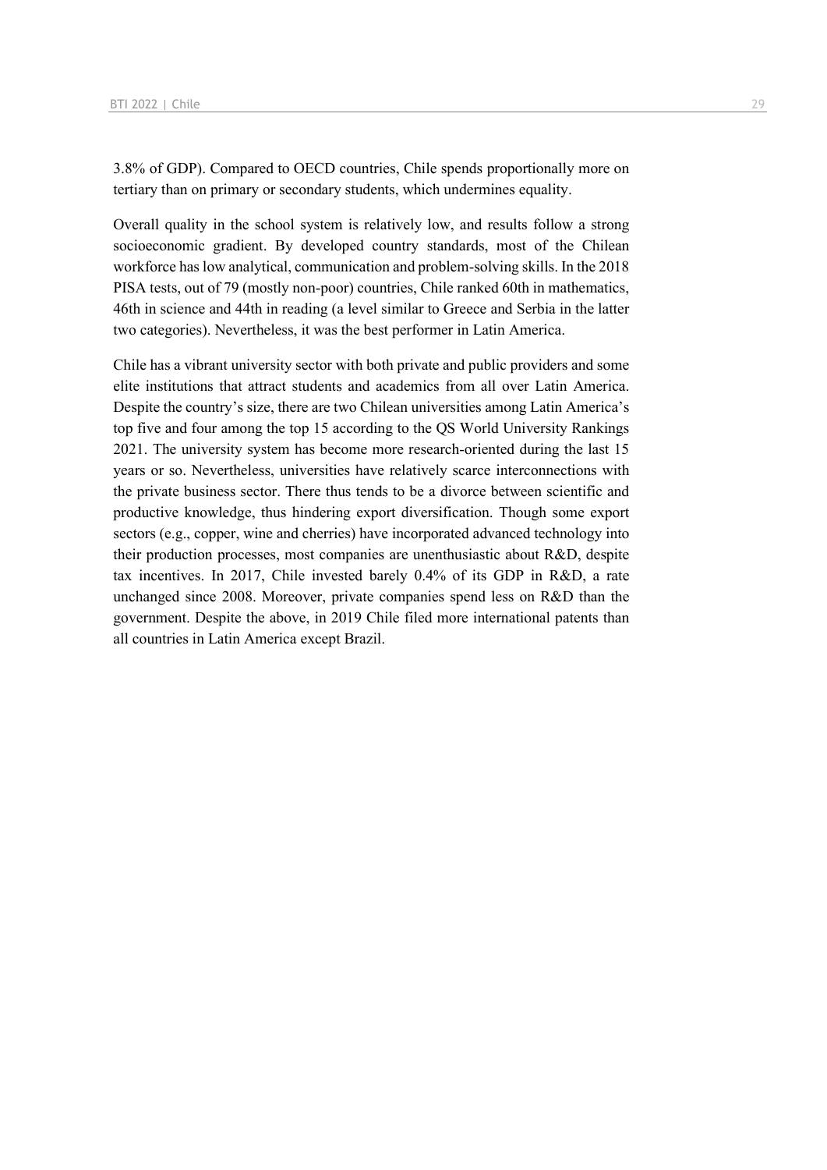3.8% of GDP). Compared to OECD countries, Chile spends proportionally more on tertiary than on primary or secondary students, which undermines equality.

Overall quality in the school system is relatively low, and results follow a strong socioeconomic gradient. By developed country standards, most of the Chilean workforce has low analytical, communication and problem-solving skills. In the 2018 PISA tests, out of 79 (mostly non-poor) countries, Chile ranked 60th in mathematics, 46th in science and 44th in reading (a level similar to Greece and Serbia in the latter two categories). Nevertheless, it was the best performer in Latin America.

Chile has a vibrant university sector with both private and public providers and some elite institutions that attract students and academics from all over Latin America. Despite the country's size, there are two Chilean universities among Latin America's top five and four among the top 15 according to the QS World University Rankings 2021. The university system has become more research-oriented during the last 15 years or so. Nevertheless, universities have relatively scarce interconnections with the private business sector. There thus tends to be a divorce between scientific and productive knowledge, thus hindering export diversification. Though some export sectors (e.g., copper, wine and cherries) have incorporated advanced technology into their production processes, most companies are unenthusiastic about R&D, despite tax incentives. In 2017, Chile invested barely 0.4% of its GDP in R&D, a rate unchanged since 2008. Moreover, private companies spend less on R&D than the government. Despite the above, in 2019 Chile filed more international patents than all countries in Latin America except Brazil.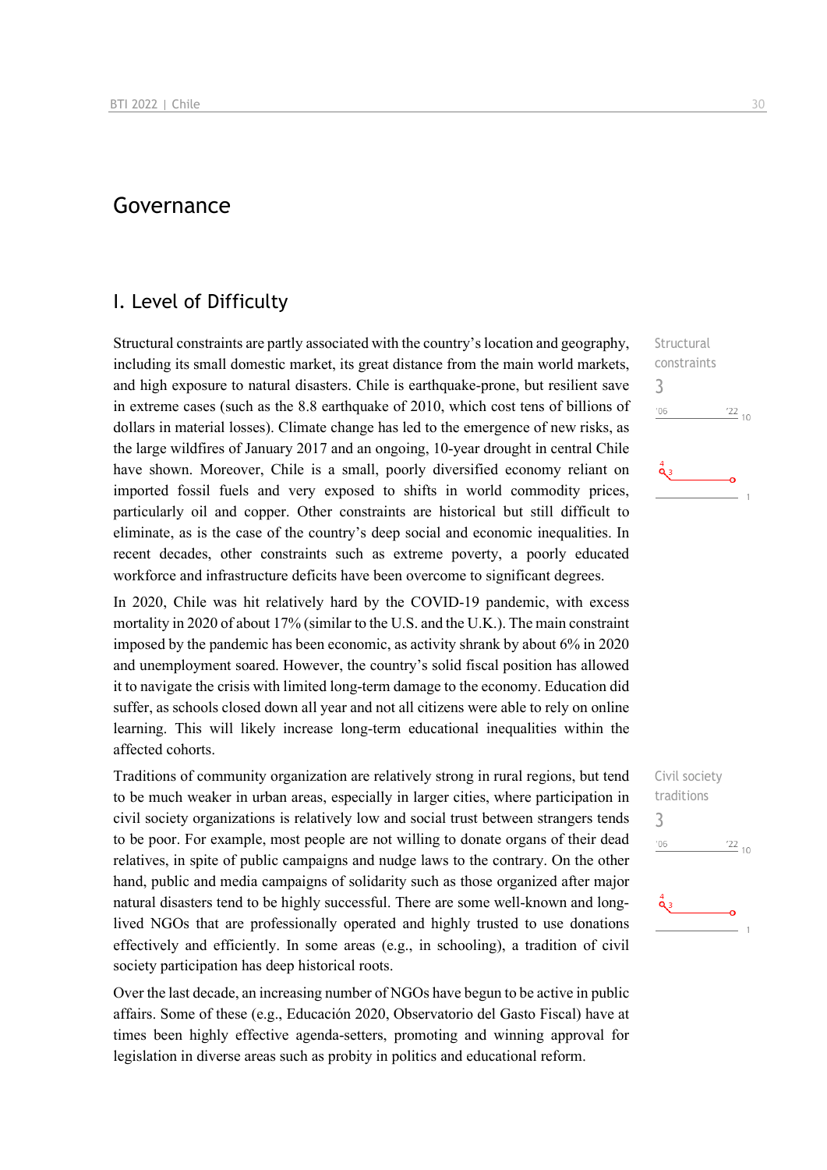## Governance

## I. Level of Difficulty

Structural constraints are partly associated with the country's location and geography, including its small domestic market, its great distance from the main world markets, and high exposure to natural disasters. Chile is earthquake-prone, but resilient save in extreme cases (such as the 8.8 earthquake of 2010, which cost tens of billions of dollars in material losses). Climate change has led to the emergence of new risks, as the large wildfires of January 2017 and an ongoing, 10-year drought in central Chile have shown. Moreover, Chile is a small, poorly diversified economy reliant on imported fossil fuels and very exposed to shifts in world commodity prices, particularly oil and copper. Other constraints are historical but still difficult to eliminate, as is the case of the country's deep social and economic inequalities. In recent decades, other constraints such as extreme poverty, a poorly educated workforce and infrastructure deficits have been overcome to significant degrees.

In 2020, Chile was hit relatively hard by the COVID-19 pandemic, with excess mortality in 2020 of about 17% (similar to the U.S. and the U.K.). The main constraint imposed by the pandemic has been economic, as activity shrank by about 6% in 2020 and unemployment soared. However, the country's solid fiscal position has allowed it to navigate the crisis with limited long-term damage to the economy. Education did suffer, as schools closed down all year and not all citizens were able to rely on online learning. This will likely increase long-term educational inequalities within the affected cohorts.

Traditions of community organization are relatively strong in rural regions, but tend to be much weaker in urban areas, especially in larger cities, where participation in civil society organizations is relatively low and social trust between strangers tends to be poor. For example, most people are not willing to donate organs of their dead relatives, in spite of public campaigns and nudge laws to the contrary. On the other hand, public and media campaigns of solidarity such as those organized after major natural disasters tend to be highly successful. There are some well-known and longlived NGOs that are professionally operated and highly trusted to use donations effectively and efficiently. In some areas (e.g., in schooling), a tradition of civil society participation has deep historical roots.

Over the last decade, an increasing number of NGOs have begun to be active in public affairs. Some of these (e.g., Educación 2020, Observatorio del Gasto Fiscal) have at times been highly effective agenda-setters, promoting and winning approval for legislation in diverse areas such as probity in politics and educational reform.

 $\frac{22}{10}$ 

**Structural** constraints

3

 $n<sub>6</sub>$ 

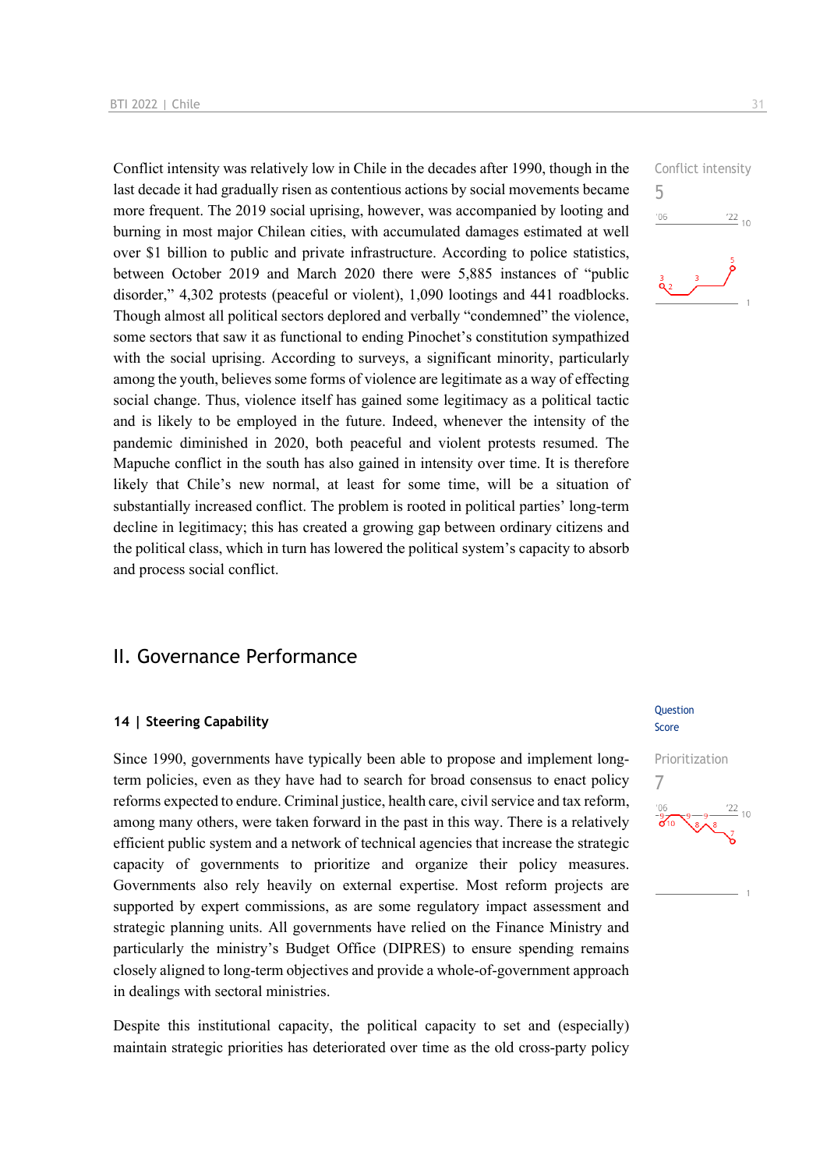Conflict intensity was relatively low in Chile in the decades after 1990, though in the last decade it had gradually risen as contentious actions by social movements became more frequent. The 2019 social uprising, however, was accompanied by looting and burning in most major Chilean cities, with accumulated damages estimated at well over \$1 billion to public and private infrastructure. According to police statistics, between October 2019 and March 2020 there were 5,885 instances of "public disorder," 4,302 protests (peaceful or violent), 1,090 lootings and 441 roadblocks. Though almost all political sectors deplored and verbally "condemned" the violence, some sectors that saw it as functional to ending Pinochet's constitution sympathized with the social uprising. According to surveys, a significant minority, particularly among the youth, believes some forms of violence are legitimate as a way of effecting social change. Thus, violence itself has gained some legitimacy as a political tactic and is likely to be employed in the future. Indeed, whenever the intensity of the pandemic diminished in 2020, both peaceful and violent protests resumed. The Mapuche conflict in the south has also gained in intensity over time. It is therefore likely that Chile's new normal, at least for some time, will be a situation of substantially increased conflict. The problem is rooted in political parties' long-term decline in legitimacy; this has created a growing gap between ordinary citizens and the political class, which in turn has lowered the political system's capacity to absorb and process social conflict.

## II. Governance Performance

#### **14 | Steering Capability**

Since 1990, governments have typically been able to propose and implement longterm policies, even as they have had to search for broad consensus to enact policy reforms expected to endure. Criminal justice, health care, civil service and tax reform, among many others, were taken forward in the past in this way. There is a relatively efficient public system and a network of technical agencies that increase the strategic capacity of governments to prioritize and organize their policy measures. Governments also rely heavily on external expertise. Most reform projects are supported by expert commissions, as are some regulatory impact assessment and strategic planning units. All governments have relied on the Finance Ministry and particularly the ministry's Budget Office (DIPRES) to ensure spending remains closely aligned to long-term objectives and provide a whole-of-government approach in dealings with sectoral ministries.

Despite this institutional capacity, the political capacity to set and (especially) maintain strategic priorities has deteriorated over time as the old cross-party policy

#### **Ouestion** Score



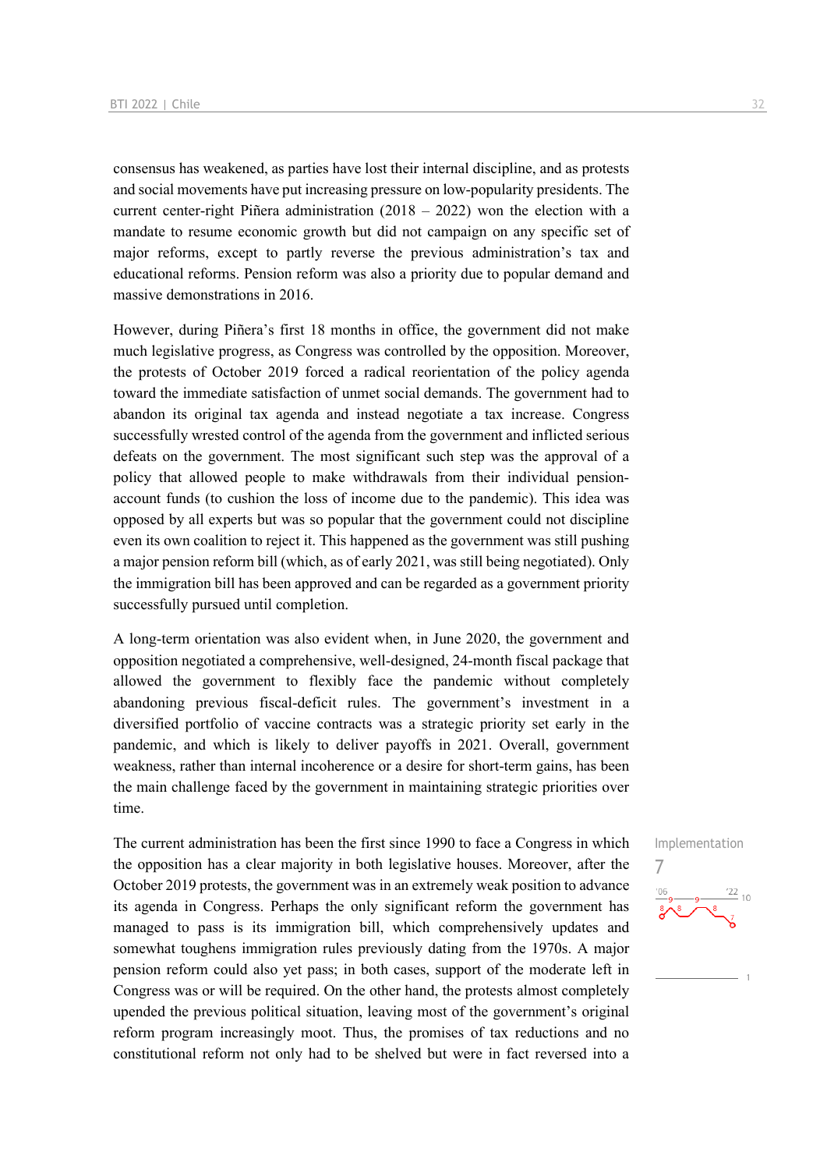consensus has weakened, as parties have lost their internal discipline, and as protests and social movements have put increasing pressure on low-popularity presidents. The current center-right Piñera administration  $(2018 - 2022)$  won the election with a mandate to resume economic growth but did not campaign on any specific set of major reforms, except to partly reverse the previous administration's tax and educational reforms. Pension reform was also a priority due to popular demand and massive demonstrations in 2016.

However, during Piñera's first 18 months in office, the government did not make much legislative progress, as Congress was controlled by the opposition. Moreover, the protests of October 2019 forced a radical reorientation of the policy agenda toward the immediate satisfaction of unmet social demands. The government had to abandon its original tax agenda and instead negotiate a tax increase. Congress successfully wrested control of the agenda from the government and inflicted serious defeats on the government. The most significant such step was the approval of a policy that allowed people to make withdrawals from their individual pensionaccount funds (to cushion the loss of income due to the pandemic). This idea was opposed by all experts but was so popular that the government could not discipline even its own coalition to reject it. This happened as the government was still pushing a major pension reform bill (which, as of early 2021, was still being negotiated). Only the immigration bill has been approved and can be regarded as a government priority successfully pursued until completion.

A long-term orientation was also evident when, in June 2020, the government and opposition negotiated a comprehensive, well-designed, 24-month fiscal package that allowed the government to flexibly face the pandemic without completely abandoning previous fiscal-deficit rules. The government's investment in a diversified portfolio of vaccine contracts was a strategic priority set early in the pandemic, and which is likely to deliver payoffs in 2021. Overall, government weakness, rather than internal incoherence or a desire for short-term gains, has been the main challenge faced by the government in maintaining strategic priorities over time.

The current administration has been the first since 1990 to face a Congress in which the opposition has a clear majority in both legislative houses. Moreover, after the October 2019 protests, the government was in an extremely weak position to advance its agenda in Congress. Perhaps the only significant reform the government has managed to pass is its immigration bill, which comprehensively updates and somewhat toughens immigration rules previously dating from the 1970s. A major pension reform could also yet pass; in both cases, support of the moderate left in Congress was or will be required. On the other hand, the protests almost completely upended the previous political situation, leaving most of the government's original reform program increasingly moot. Thus, the promises of tax reductions and no constitutional reform not only had to be shelved but were in fact reversed into a

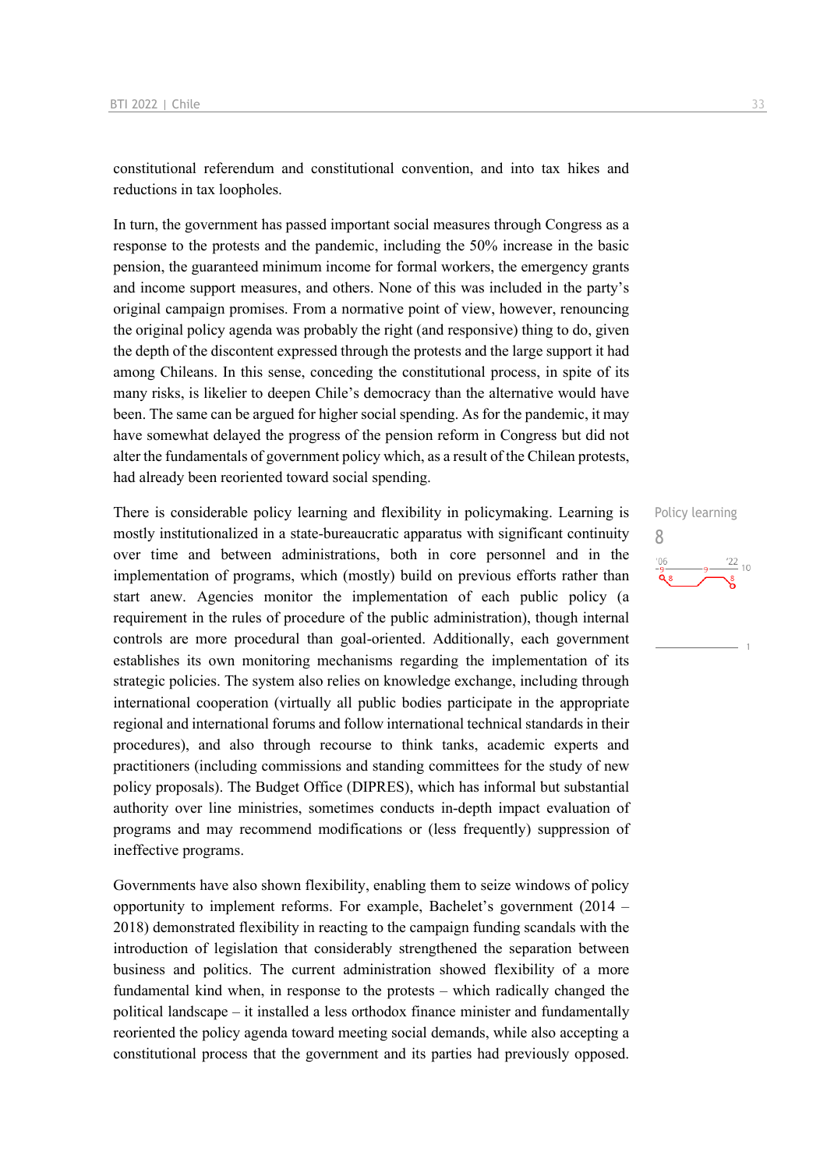constitutional referendum and constitutional convention, and into tax hikes and reductions in tax loopholes.

In turn, the government has passed important social measures through Congress as a response to the protests and the pandemic, including the 50% increase in the basic pension, the guaranteed minimum income for formal workers, the emergency grants and income support measures, and others. None of this was included in the party's original campaign promises. From a normative point of view, however, renouncing the original policy agenda was probably the right (and responsive) thing to do, given the depth of the discontent expressed through the protests and the large support it had among Chileans. In this sense, conceding the constitutional process, in spite of its many risks, is likelier to deepen Chile's democracy than the alternative would have been. The same can be argued for higher social spending. As for the pandemic, it may have somewhat delayed the progress of the pension reform in Congress but did not alter the fundamentals of government policy which, as a result of the Chilean protests, had already been reoriented toward social spending.

There is considerable policy learning and flexibility in policymaking. Learning is mostly institutionalized in a state-bureaucratic apparatus with significant continuity over time and between administrations, both in core personnel and in the implementation of programs, which (mostly) build on previous efforts rather than start anew. Agencies monitor the implementation of each public policy (a requirement in the rules of procedure of the public administration), though internal controls are more procedural than goal-oriented. Additionally, each government establishes its own monitoring mechanisms regarding the implementation of its strategic policies. The system also relies on knowledge exchange, including through international cooperation (virtually all public bodies participate in the appropriate regional and international forums and follow international technical standards in their procedures), and also through recourse to think tanks, academic experts and practitioners (including commissions and standing committees for the study of new policy proposals). The Budget Office (DIPRES), which has informal but substantial authority over line ministries, sometimes conducts in-depth impact evaluation of programs and may recommend modifications or (less frequently) suppression of ineffective programs.

Governments have also shown flexibility, enabling them to seize windows of policy opportunity to implement reforms. For example, Bachelet's government (2014 – 2018) demonstrated flexibility in reacting to the campaign funding scandals with the introduction of legislation that considerably strengthened the separation between business and politics. The current administration showed flexibility of a more fundamental kind when, in response to the protests – which radically changed the political landscape – it installed a less orthodox finance minister and fundamentally reoriented the policy agenda toward meeting social demands, while also accepting a constitutional process that the government and its parties had previously opposed. Policy learning 8 $\frac{22}{10}$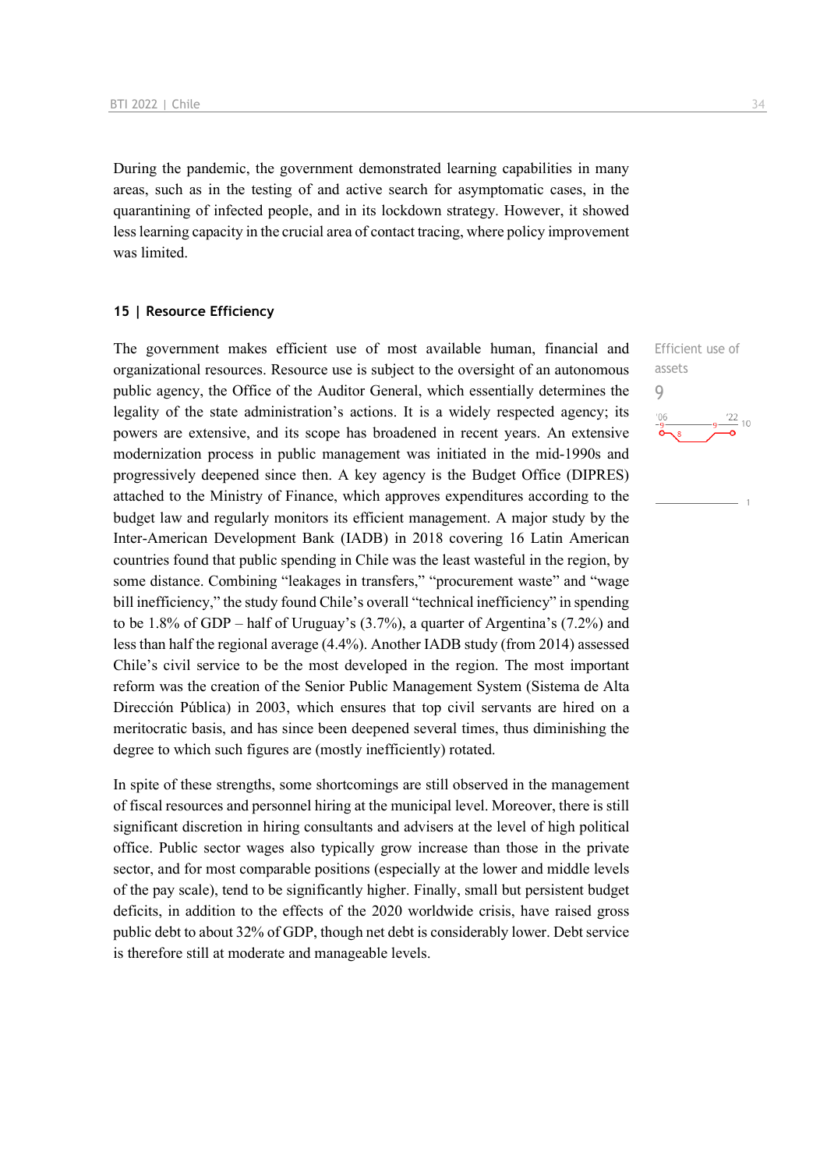During the pandemic, the government demonstrated learning capabilities in many areas, such as in the testing of and active search for asymptomatic cases, in the quarantining of infected people, and in its lockdown strategy. However, it showed less learning capacity in the crucial area of contact tracing, where policy improvement was limited.

#### **15 | Resource Efficiency**

The government makes efficient use of most available human, financial and organizational resources. Resource use is subject to the oversight of an autonomous public agency, the Office of the Auditor General, which essentially determines the legality of the state administration's actions. It is a widely respected agency; its powers are extensive, and its scope has broadened in recent years. An extensive modernization process in public management was initiated in the mid-1990s and progressively deepened since then. A key agency is the Budget Office (DIPRES) attached to the Ministry of Finance, which approves expenditures according to the budget law and regularly monitors its efficient management. A major study by the Inter-American Development Bank (IADB) in 2018 covering 16 Latin American countries found that public spending in Chile was the least wasteful in the region, by some distance. Combining "leakages in transfers," "procurement waste" and "wage bill inefficiency," the study found Chile's overall "technical inefficiency" in spending to be 1.8% of GDP – half of Uruguay's (3.7%), a quarter of Argentina's (7.2%) and less than half the regional average (4.4%). Another IADB study (from 2014) assessed Chile's civil service to be the most developed in the region. The most important reform was the creation of the Senior Public Management System (Sistema de Alta Dirección Pública) in 2003, which ensures that top civil servants are hired on a meritocratic basis, and has since been deepened several times, thus diminishing the degree to which such figures are (mostly inefficiently) rotated.

In spite of these strengths, some shortcomings are still observed in the management of fiscal resources and personnel hiring at the municipal level. Moreover, there is still significant discretion in hiring consultants and advisers at the level of high political office. Public sector wages also typically grow increase than those in the private sector, and for most comparable positions (especially at the lower and middle levels of the pay scale), tend to be significantly higher. Finally, small but persistent budget deficits, in addition to the effects of the 2020 worldwide crisis, have raised gross public debt to about 32% of GDP, though net debt is considerably lower. Debt service is therefore still at moderate and manageable levels.

Efficient use of assets  $\overline{Q}$  $\frac{22}{10}$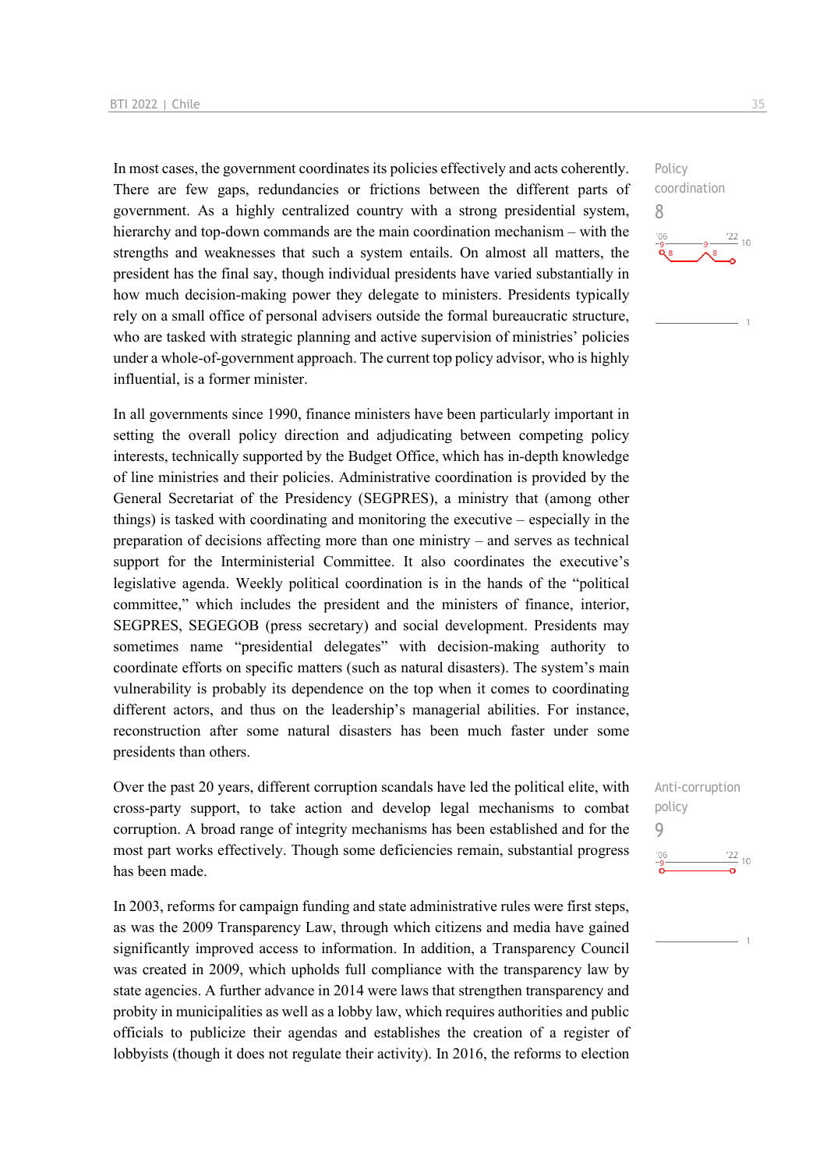In most cases, the government coordinates its policies effectively and acts coherently. There are few gaps, redundancies or frictions between the different parts of government. As a highly centralized country with a strong presidential system, hierarchy and top-down commands are the main coordination mechanism – with the strengths and weaknesses that such a system entails. On almost all matters, the president has the final say, though individual presidents have varied substantially in how much decision-making power they delegate to ministers. Presidents typically rely on a small office of personal advisers outside the formal bureaucratic structure, who are tasked with strategic planning and active supervision of ministries' policies under a whole-of-government approach. The current top policy advisor, who is highly influential, is a former minister.

In all governments since 1990, finance ministers have been particularly important in setting the overall policy direction and adjudicating between competing policy interests, technically supported by the Budget Office, which has in-depth knowledge of line ministries and their policies. Administrative coordination is provided by the General Secretariat of the Presidency (SEGPRES), a ministry that (among other things) is tasked with coordinating and monitoring the executive – especially in the preparation of decisions affecting more than one ministry – and serves as technical support for the Interministerial Committee. It also coordinates the executive's legislative agenda. Weekly political coordination is in the hands of the "political committee," which includes the president and the ministers of finance, interior, SEGPRES, SEGEGOB (press secretary) and social development. Presidents may sometimes name "presidential delegates" with decision-making authority to coordinate efforts on specific matters (such as natural disasters). The system's main vulnerability is probably its dependence on the top when it comes to coordinating different actors, and thus on the leadership's managerial abilities. For instance, reconstruction after some natural disasters has been much faster under some presidents than others.

Over the past 20 years, different corruption scandals have led the political elite, with cross-party support, to take action and develop legal mechanisms to combat corruption. A broad range of integrity mechanisms has been established and for the most part works effectively. Though some deficiencies remain, substantial progress has been made.

In 2003, reforms for campaign funding and state administrative rules were first steps, as was the 2009 Transparency Law, through which citizens and media have gained significantly improved access to information. In addition, a Transparency Council was created in 2009, which upholds full compliance with the transparency law by state agencies. A further advance in 2014 were laws that strengthen transparency and probity in municipalities as well as a lobby law, which requires authorities and public officials to publicize their agendas and establishes the creation of a register of lobbyists (though it does not regulate their activity). In 2016, the reforms to election

Policy coordination 8  $\frac{22}{10}$ 

Anti-corruption policy 9 $\frac{22}{10}$  $'06$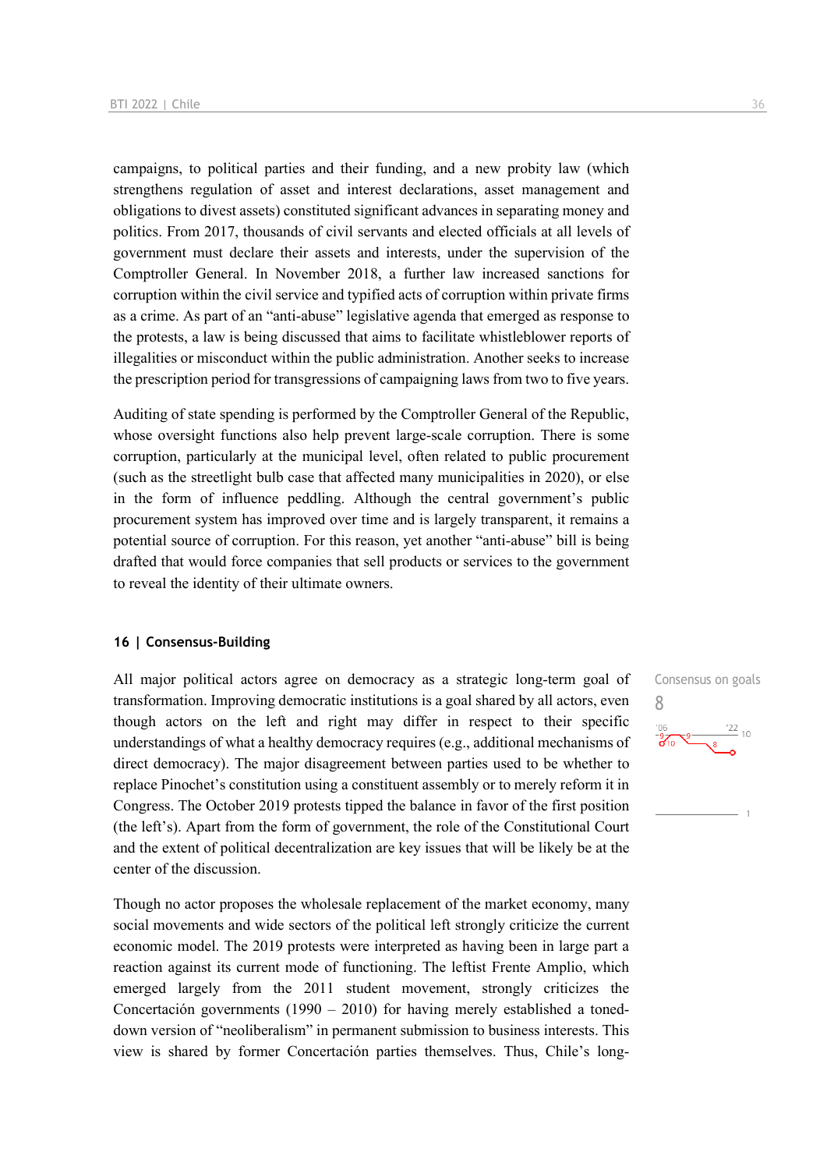campaigns, to political parties and their funding, and a new probity law (which strengthens regulation of asset and interest declarations, asset management and obligations to divest assets) constituted significant advances in separating money and politics. From 2017, thousands of civil servants and elected officials at all levels of government must declare their assets and interests, under the supervision of the Comptroller General. In November 2018, a further law increased sanctions for corruption within the civil service and typified acts of corruption within private firms as a crime. As part of an "anti-abuse" legislative agenda that emerged as response to the protests, a law is being discussed that aims to facilitate whistleblower reports of illegalities or misconduct within the public administration. Another seeks to increase the prescription period for transgressions of campaigning laws from two to five years.

Auditing of state spending is performed by the Comptroller General of the Republic, whose oversight functions also help prevent large-scale corruption. There is some corruption, particularly at the municipal level, often related to public procurement (such as the streetlight bulb case that affected many municipalities in 2020), or else in the form of influence peddling. Although the central government's public procurement system has improved over time and is largely transparent, it remains a potential source of corruption. For this reason, yet another "anti-abuse" bill is being drafted that would force companies that sell products or services to the government to reveal the identity of their ultimate owners.

#### **16 | Consensus-Building**

All major political actors agree on democracy as a strategic long-term goal of transformation. Improving democratic institutions is a goal shared by all actors, even though actors on the left and right may differ in respect to their specific understandings of what a healthy democracy requires (e.g., additional mechanisms of direct democracy). The major disagreement between parties used to be whether to replace Pinochet's constitution using a constituent assembly or to merely reform it in Congress. The October 2019 protests tipped the balance in favor of the first position (the left's). Apart from the form of government, the role of the Constitutional Court and the extent of political decentralization are key issues that will be likely be at the center of the discussion.

Though no actor proposes the wholesale replacement of the market economy, many social movements and wide sectors of the political left strongly criticize the current economic model. The 2019 protests were interpreted as having been in large part a reaction against its current mode of functioning. The leftist Frente Amplio, which emerged largely from the 2011 student movement, strongly criticizes the Concertación governments (1990 – 2010) for having merely established a toneddown version of "neoliberalism" in permanent submission to business interests. This view is shared by former Concertación parties themselves. Thus, Chile's longConsensus on goals 8 $\frac{22}{10}$  $'06$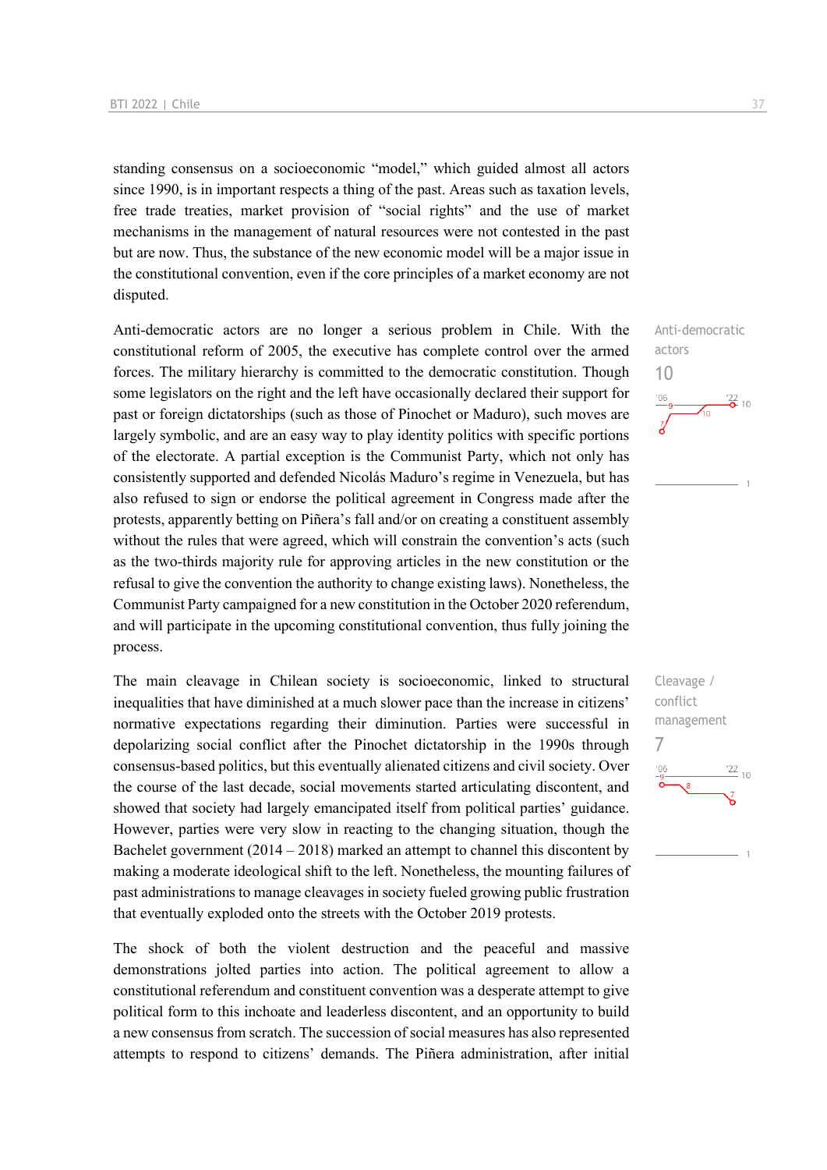standing consensus on a socioeconomic "model," which guided almost all actors since 1990, is in important respects a thing of the past. Areas such as taxation levels, free trade treaties, market provision of "social rights" and the use of market mechanisms in the management of natural resources were not contested in the past but are now. Thus, the substance of the new economic model will be a major issue in the constitutional convention, even if the core principles of a market economy are not disputed.

Anti-democratic actors are no longer a serious problem in Chile. With the constitutional reform of 2005, the executive has complete control over the armed forces. The military hierarchy is committed to the democratic constitution. Though some legislators on the right and the left have occasionally declared their support for past or foreign dictatorships (such as those of Pinochet or Maduro), such moves are largely symbolic, and are an easy way to play identity politics with specific portions of the electorate. A partial exception is the Communist Party, which not only has consistently supported and defended Nicolás Maduro's regime in Venezuela, but has also refused to sign or endorse the political agreement in Congress made after the protests, apparently betting on Piñera's fall and/or on creating a constituent assembly without the rules that were agreed, which will constrain the convention's acts (such as the two-thirds majority rule for approving articles in the new constitution or the refusal to give the convention the authority to change existing laws). Nonetheless, the Communist Party campaigned for a new constitution in the October 2020 referendum, and will participate in the upcoming constitutional convention, thus fully joining the process.

The main cleavage in Chilean society is socioeconomic, linked to structural inequalities that have diminished at a much slower pace than the increase in citizens' normative expectations regarding their diminution. Parties were successful in depolarizing social conflict after the Pinochet dictatorship in the 1990s through consensus-based politics, but this eventually alienated citizens and civil society. Over the course of the last decade, social movements started articulating discontent, and showed that society had largely emancipated itself from political parties' guidance. However, parties were very slow in reacting to the changing situation, though the Bachelet government  $(2014 - 2018)$  marked an attempt to channel this discontent by making a moderate ideological shift to the left. Nonetheless, the mounting failures of past administrations to manage cleavages in society fueled growing public frustration that eventually exploded onto the streets with the October 2019 protests.

The shock of both the violent destruction and the peaceful and massive demonstrations jolted parties into action. The political agreement to allow a constitutional referendum and constituent convention was a desperate attempt to give political form to this inchoate and leaderless discontent, and an opportunity to build a new consensus from scratch. The succession of social measures has also represented attempts to respond to citizens' demands. The Piñera administration, after initial



Cleavage / conflict management 7 $\frac{22}{10}$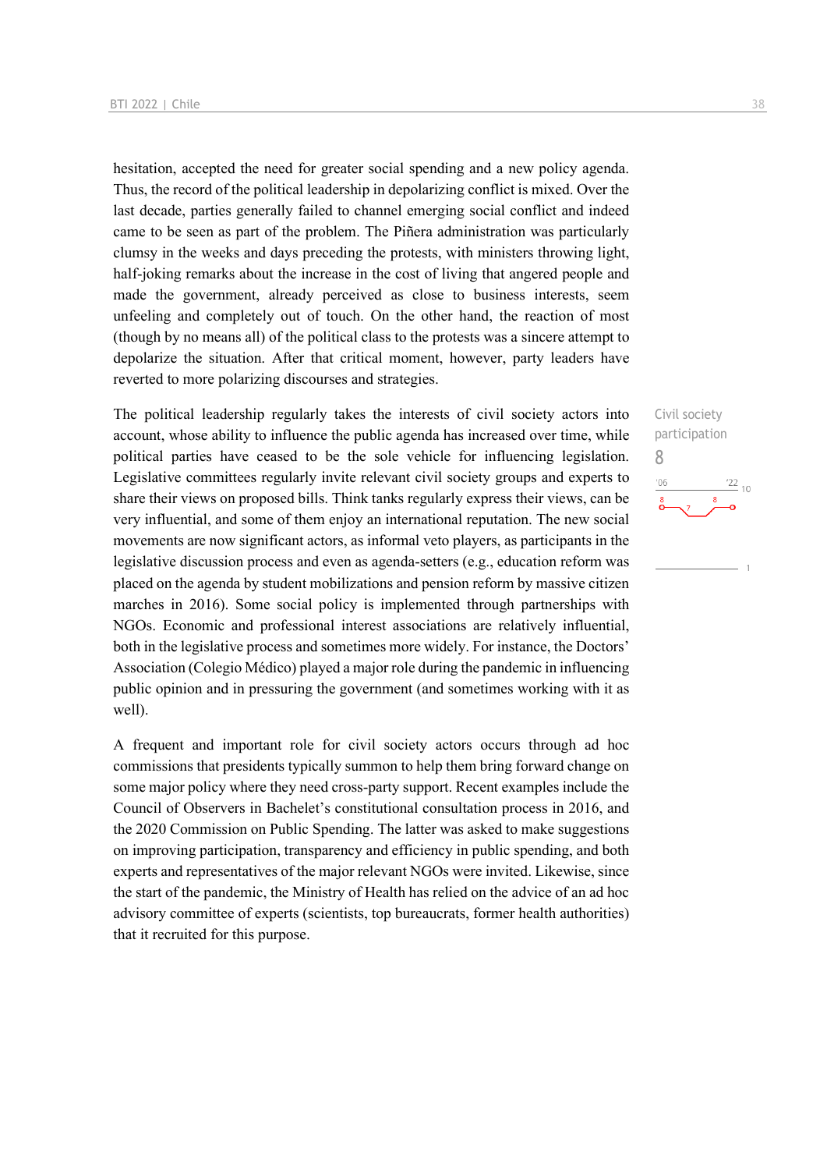hesitation, accepted the need for greater social spending and a new policy agenda. Thus, the record of the political leadership in depolarizing conflict is mixed. Over the last decade, parties generally failed to channel emerging social conflict and indeed came to be seen as part of the problem. The Piñera administration was particularly clumsy in the weeks and days preceding the protests, with ministers throwing light, half-joking remarks about the increase in the cost of living that angered people and made the government, already perceived as close to business interests, seem unfeeling and completely out of touch. On the other hand, the reaction of most (though by no means all) of the political class to the protests was a sincere attempt to depolarize the situation. After that critical moment, however, party leaders have reverted to more polarizing discourses and strategies.

The political leadership regularly takes the interests of civil society actors into account, whose ability to influence the public agenda has increased over time, while political parties have ceased to be the sole vehicle for influencing legislation. Legislative committees regularly invite relevant civil society groups and experts to share their views on proposed bills. Think tanks regularly express their views, can be very influential, and some of them enjoy an international reputation. The new social movements are now significant actors, as informal veto players, as participants in the legislative discussion process and even as agenda-setters (e.g., education reform was placed on the agenda by student mobilizations and pension reform by massive citizen marches in 2016). Some social policy is implemented through partnerships with NGOs. Economic and professional interest associations are relatively influential, both in the legislative process and sometimes more widely. For instance, the Doctors' Association (Colegio Médico) played a major role during the pandemic in influencing public opinion and in pressuring the government (and sometimes working with it as well).

A frequent and important role for civil society actors occurs through ad hoc commissions that presidents typically summon to help them bring forward change on some major policy where they need cross-party support. Recent examples include the Council of Observers in Bachelet's constitutional consultation process in 2016, and the 2020 Commission on Public Spending. The latter was asked to make suggestions on improving participation, transparency and efficiency in public spending, and both experts and representatives of the major relevant NGOs were invited. Likewise, since the start of the pandemic, the Ministry of Health has relied on the advice of an ad hoc advisory committee of experts (scientists, top bureaucrats, former health authorities) that it recruited for this purpose.

Civil society participation 8 $^{\prime}06$  $\frac{22}{10}$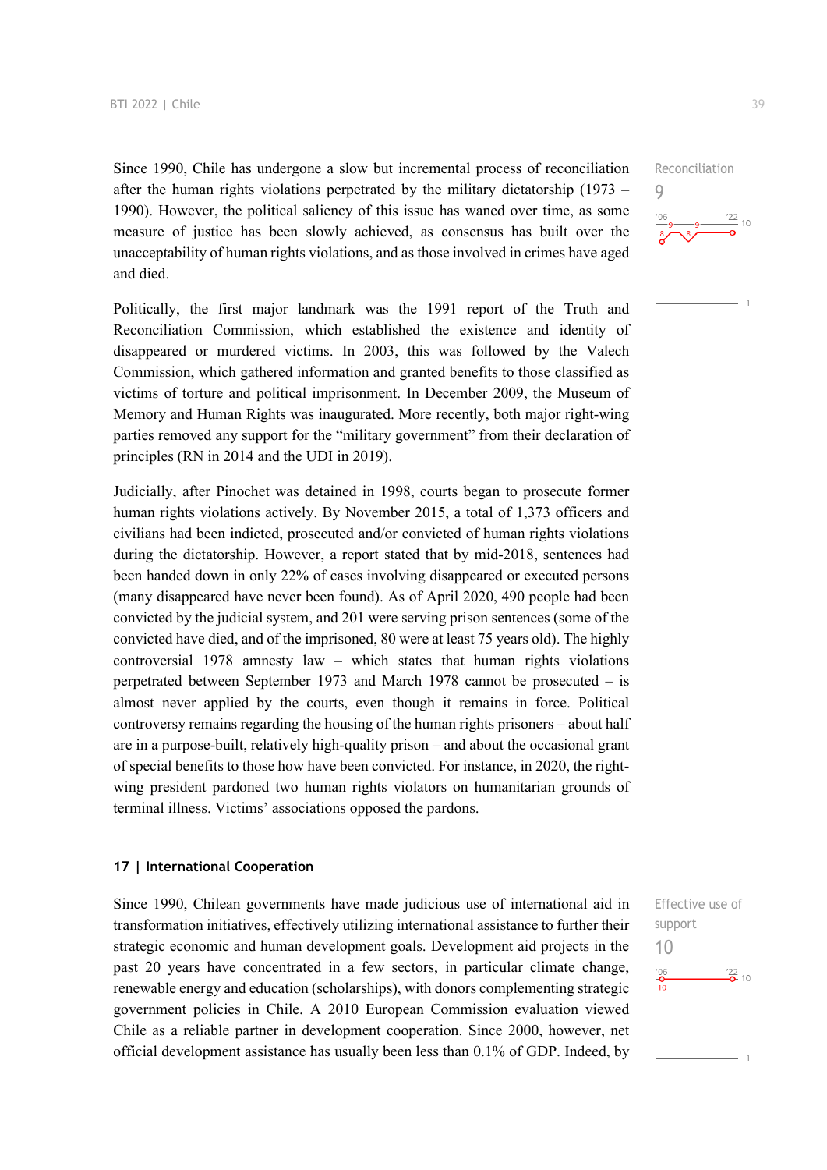Since 1990, Chile has undergone a slow but incremental process of reconciliation after the human rights violations perpetrated by the military dictatorship (1973 – 1990). However, the political saliency of this issue has waned over time, as some measure of justice has been slowly achieved, as consensus has built over the unacceptability of human rights violations, and as those involved in crimes have aged and died.

Politically, the first major landmark was the 1991 report of the Truth and Reconciliation Commission, which established the existence and identity of disappeared or murdered victims. In 2003, this was followed by the Valech Commission, which gathered information and granted benefits to those classified as victims of torture and political imprisonment. In December 2009, the Museum of Memory and Human Rights was inaugurated. More recently, both major right-wing parties removed any support for the "military government" from their declaration of principles (RN in 2014 and the UDI in 2019).

Judicially, after Pinochet was detained in 1998, courts began to prosecute former human rights violations actively. By November 2015, a total of 1,373 officers and civilians had been indicted, prosecuted and/or convicted of human rights violations during the dictatorship. However, a report stated that by mid-2018, sentences had been handed down in only 22% of cases involving disappeared or executed persons (many disappeared have never been found). As of April 2020, 490 people had been convicted by the judicial system, and 201 were serving prison sentences (some of the convicted have died, and of the imprisoned, 80 were at least 75 years old). The highly controversial 1978 amnesty law – which states that human rights violations perpetrated between September 1973 and March 1978 cannot be prosecuted – is almost never applied by the courts, even though it remains in force. Political controversy remains regarding the housing of the human rights prisoners – about half are in a purpose-built, relatively high-quality prison – and about the occasional grant of special benefits to those how have been convicted. For instance, in 2020, the rightwing president pardoned two human rights violators on humanitarian grounds of terminal illness. Victims' associations opposed the pardons.

#### **17 | International Cooperation**

Since 1990, Chilean governments have made judicious use of international aid in transformation initiatives, effectively utilizing international assistance to further their strategic economic and human development goals. Development aid projects in the past 20 years have concentrated in a few sectors, in particular climate change, renewable energy and education (scholarships), with donors complementing strategic government policies in Chile. A 2010 European Commission evaluation viewed Chile as a reliable partner in development cooperation. Since 2000, however, net official development assistance has usually been less than 0.1% of GDP. Indeed, by

Effective use of support 10 $\frac{22}{2}$  10

Reconciliation

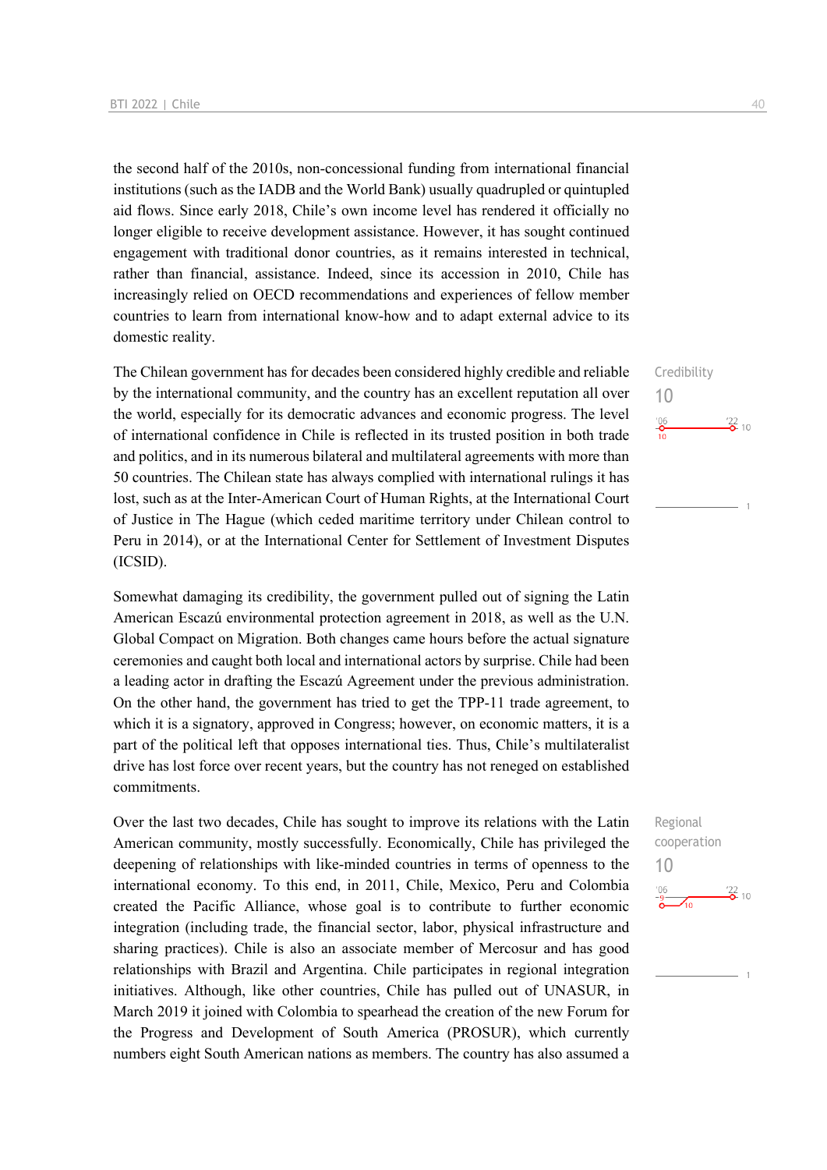the second half of the 2010s, non-concessional funding from international financial institutions (such as the IADB and the World Bank) usually quadrupled or quintupled aid flows. Since early 2018, Chile's own income level has rendered it officially no longer eligible to receive development assistance. However, it has sought continued engagement with traditional donor countries, as it remains interested in technical, rather than financial, assistance. Indeed, since its accession in 2010, Chile has increasingly relied on OECD recommendations and experiences of fellow member countries to learn from international know-how and to adapt external advice to its domestic reality.

The Chilean government has for decades been considered highly credible and reliable by the international community, and the country has an excellent reputation all over the world, especially for its democratic advances and economic progress. The level of international confidence in Chile is reflected in its trusted position in both trade and politics, and in its numerous bilateral and multilateral agreements with more than 50 countries. The Chilean state has always complied with international rulings it has lost, such as at the Inter-American Court of Human Rights, at the International Court of Justice in The Hague (which ceded maritime territory under Chilean control to Peru in 2014), or at the International Center for Settlement of Investment Disputes (ICSID).

Somewhat damaging its credibility, the government pulled out of signing the Latin American Escazú environmental protection agreement in 2018, as well as the U.N. Global Compact on Migration. Both changes came hours before the actual signature ceremonies and caught both local and international actors by surprise. Chile had been a leading actor in drafting the Escazú Agreement under the previous administration. On the other hand, the government has tried to get the TPP-11 trade agreement, to which it is a signatory, approved in Congress; however, on economic matters, it is a part of the political left that opposes international ties. Thus, Chile's multilateralist drive has lost force over recent years, but the country has not reneged on established commitments.

Over the last two decades, Chile has sought to improve its relations with the Latin American community, mostly successfully. Economically, Chile has privileged the deepening of relationships with like-minded countries in terms of openness to the international economy. To this end, in 2011, Chile, Mexico, Peru and Colombia created the Pacific Alliance, whose goal is to contribute to further economic integration (including trade, the financial sector, labor, physical infrastructure and sharing practices). Chile is also an associate member of Mercosur and has good relationships with Brazil and Argentina. Chile participates in regional integration initiatives. Although, like other countries, Chile has pulled out of UNASUR, in March 2019 it joined with Colombia to spearhead the creation of the new Forum for the Progress and Development of South America (PROSUR), which currently numbers eight South American nations as members. The country has also assumed a

Credibility 10  $\frac{106}{2}$  $\frac{22}{2}$  10

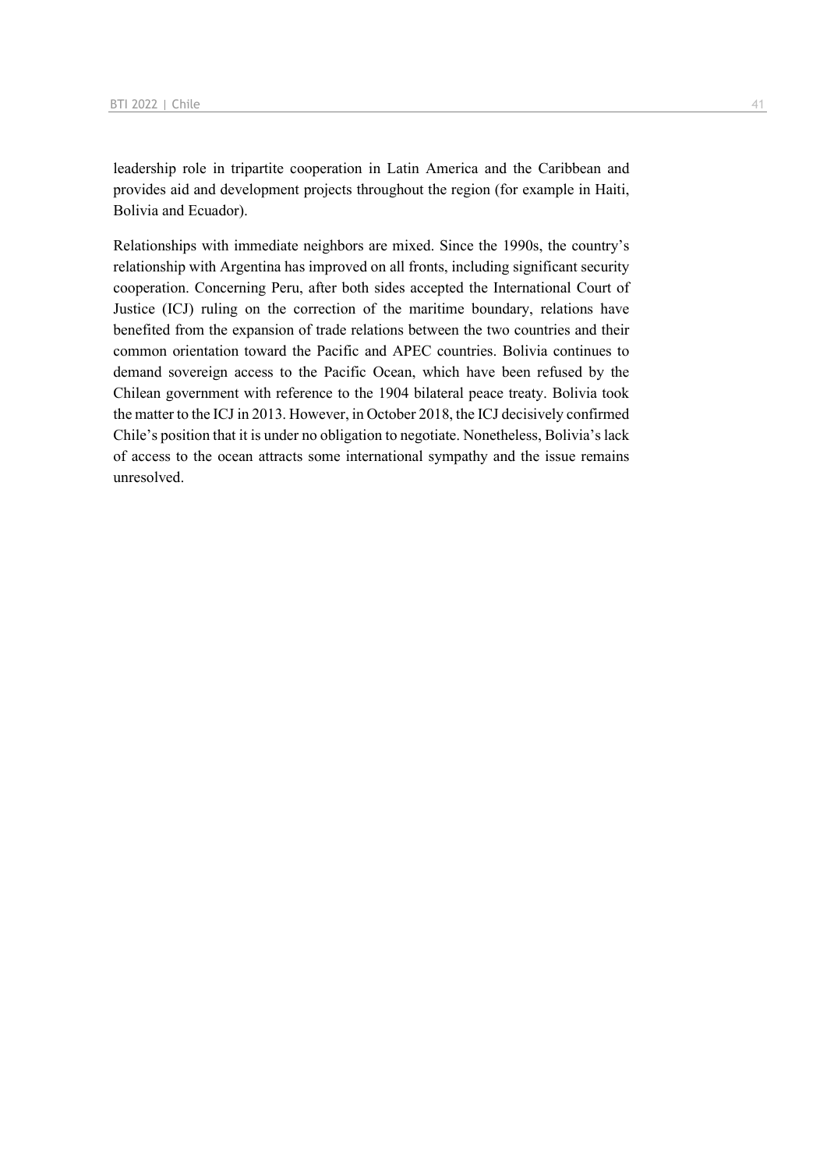leadership role in tripartite cooperation in Latin America and the Caribbean and provides aid and development projects throughout the region (for example in Haiti, Bolivia and Ecuador).

Relationships with immediate neighbors are mixed. Since the 1990s, the country's relationship with Argentina has improved on all fronts, including significant security cooperation. Concerning Peru, after both sides accepted the International Court of Justice (ICJ) ruling on the correction of the maritime boundary, relations have benefited from the expansion of trade relations between the two countries and their common orientation toward the Pacific and APEC countries. Bolivia continues to demand sovereign access to the Pacific Ocean, which have been refused by the Chilean government with reference to the 1904 bilateral peace treaty. Bolivia took the matter to the ICJ in 2013. However, in October 2018, the ICJ decisively confirmed Chile's position that it is under no obligation to negotiate. Nonetheless, Bolivia's lack of access to the ocean attracts some international sympathy and the issue remains unresolved.